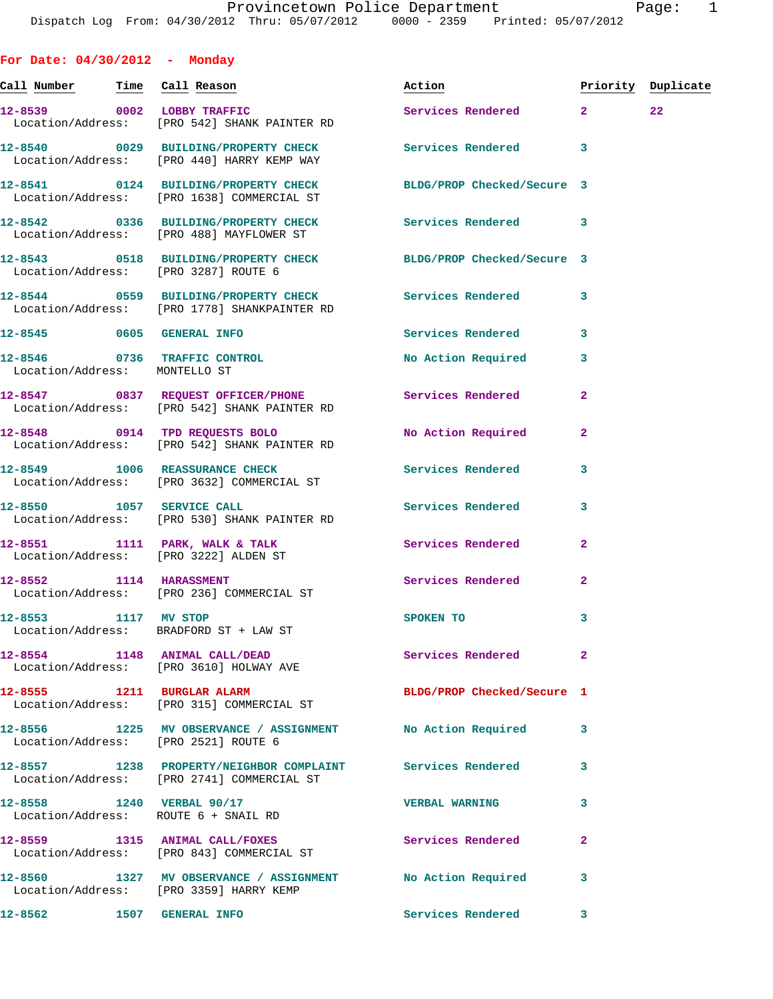**For Date: 04/30/2012 - Monday Call Number Time Call Reason Action Priority Duplicate 12-8539 0002 LOBBY TRAFFIC Services Rendered 2 22**  Location/Address: [PRO 542] SHANK PAINTER RD **12-8540 0029 BUILDING/PROPERTY CHECK Services Rendered 3**  Location/Address: [PRO 440] HARRY KEMP WAY **12-8541 0124 BUILDING/PROPERTY CHECK BLDG/PROP Checked/Secure 3**  Location/Address: [PRO 1638] COMMERCIAL ST **12-8542 0336 BUILDING/PROPERTY CHECK Services Rendered 3**  Location/Address: [PRO 488] MAYFLOWER ST **12-8543 0518 BUILDING/PROPERTY CHECK BLDG/PROP Checked/Secure 3**  Location/Address: [PRO 3287] ROUTE 6 **12-8544 0559 BUILDING/PROPERTY CHECK Services Rendered 3**  Location/Address: [PRO 1778] SHANKPAINTER RD **12-8545 0605 GENERAL INFO Services Rendered 3 12-8546 0736 TRAFFIC CONTROL No Action Required 3**  Location/Address: MONTELLO ST **12-8547 0837 REQUEST OFFICER/PHONE Services Rendered 2**  Location/Address: [PRO 542] SHANK PAINTER RD **12-8548 0914 TPD REQUESTS BOLO No Action Required 2**  Location/Address: [PRO 542] SHANK PAINTER RD **12-8549 1006 REASSURANCE CHECK Services Rendered 3**  Location/Address: [PRO 3632] COMMERCIAL ST **12-8550 1057 SERVICE CALL Services Rendered 3**  Location/Address: [PRO 530] SHANK PAINTER RD **12-8551 1111 PARK, WALK & TALK Services Rendered 2**  Location/Address: [PRO 3222] ALDEN ST **12-8552 1114 HARASSMENT Services Rendered 2**  Location/Address: [PRO 236] COMMERCIAL ST **12-8553 1117 MV STOP SPOKEN TO 3**  Location/Address: BRADFORD ST + LAW ST **12-8554 1148 ANIMAL CALL/DEAD Services Rendered 2**  Location/Address: [PRO 3610] HOLWAY AVE **12-8555 1211 BURGLAR ALARM BLDG/PROP Checked/Secure 1**  Location/Address: [PRO 315] COMMERCIAL ST **12-8556 1225 MV OBSERVANCE / ASSIGNMENT No Action Required 3**  Location/Address: [PRO 2521] ROUTE 6 **12-8557 1238 PROPERTY/NEIGHBOR COMPLAINT Services Rendered 3**  Location/Address: [PRO 2741] COMMERCIAL ST **12-8558 1240 VERBAL 90/17 VERBAL WARNING 3**  Location/Address: ROUTE 6 + SNAIL RD **12-8559 1315 ANIMAL CALL/FOXES Services Rendered 2**  Location/Address: [PRO 843] COMMERCIAL ST **12-8560 1327 MV OBSERVANCE / ASSIGNMENT No Action Required 3**  Location/Address: [PRO 3359] HARRY KEMP

**12-8562 1507 GENERAL INFO Services Rendered 3**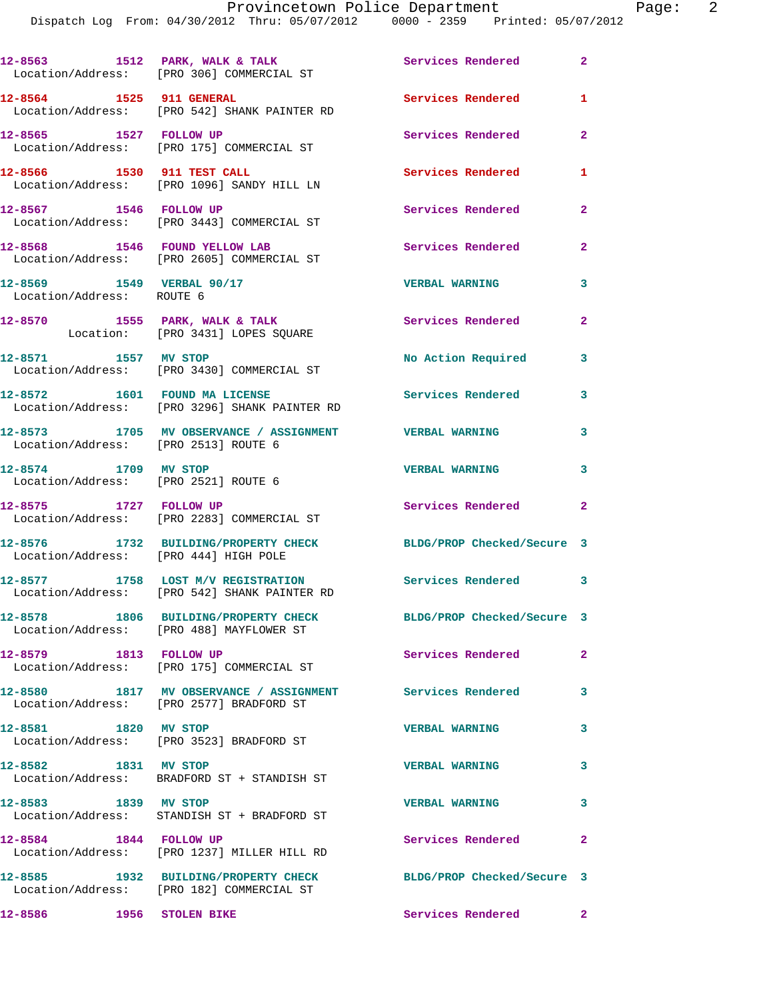Dispatch Log From: 04/30/2012 Thru: 05/07/2012 0000 - 2359 Printed: 05/07/2012

|                                                              | 12-8563 1512 PARK, WALK & TALK<br>Location/Address: [PRO 306] COMMERCIAL ST                          | Services Rendered          | $\mathbf{2}$   |
|--------------------------------------------------------------|------------------------------------------------------------------------------------------------------|----------------------------|----------------|
|                                                              | 12-8564 1525 911 GENERAL<br>Location/Address: [PRO 542] SHANK PAINTER RD                             | Services Rendered          | 1              |
| 12-8565 1527 FOLLOW UP                                       | Location/Address: [PRO 175] COMMERCIAL ST                                                            | Services Rendered          | $\overline{a}$ |
|                                                              | 12-8566 1530 911 TEST CALL<br>Location/Address: [PRO 1096] SANDY HILL LN                             | <b>Services Rendered</b>   | 1              |
| 12-8567 1546 FOLLOW UP                                       | Location/Address: [PRO 3443] COMMERCIAL ST                                                           | Services Rendered          | $\overline{2}$ |
|                                                              | 12-8568 1546 FOUND YELLOW LAB<br>Location/Address: [PRO 2605] COMMERCIAL ST                          | <b>Services Rendered</b>   | $\overline{2}$ |
| 12-8569 1549 VERBAL 90/17<br>Location/Address: ROUTE 6       |                                                                                                      | <b>VERBAL WARNING</b>      | 3              |
|                                                              | $12-8570$ 1555 PARK, WALK & TALK<br>Location: [PRO 3431] LOPES SQUARE                                | Services Rendered          | $\mathbf{2}$   |
| 12-8571 1557 MV STOP                                         | Location/Address: [PRO 3430] COMMERCIAL ST                                                           | No Action Required 3       |                |
|                                                              | 12-8572 1601 FOUND MA LICENSE<br>Location/Address: [PRO 3296] SHANK PAINTER RD                       | <b>Services Rendered</b>   | 3              |
| Location/Address: [PRO 2513] ROUTE 6                         | 12-8573 1705 MV OBSERVANCE / ASSIGNMENT VERBAL WARNING                                               |                            | 3              |
| 12-8574 1709 MV STOP<br>Location/Address: [PRO 2521] ROUTE 6 |                                                                                                      | <b>VERBAL WARNING</b>      | 3              |
| 12-8575 1727 FOLLOW UP                                       | Location/Address: [PRO 2283] COMMERCIAL ST                                                           | Services Rendered          | $\overline{a}$ |
| Location/Address: [PRO 444] HIGH POLE                        | 12-8576 1732 BUILDING/PROPERTY CHECK                                                                 | BLDG/PROP Checked/Secure 3 |                |
|                                                              | 12-8577 1758 LOST M/V REGISTRATION Services Rendered<br>Location/Address: [PRO 542] SHANK PAINTER RD |                            | 3              |
|                                                              | 12-8578 1806 BUILDING/PROPERTY CHECK<br>Location/Address: [PRO 488] MAYFLOWER ST                     | BLDG/PROP Checked/Secure 3 |                |
| 12-8579 1813 FOLLOW UP                                       | Location/Address: [PRO 175] COMMERCIAL ST                                                            | Services Rendered          | $\overline{a}$ |
|                                                              | 12-8580 1817 MV OBSERVANCE / ASSIGNMENT<br>Location/Address: [PRO 2577] BRADFORD ST                  | Services Rendered          | 3              |
| 12-8581 1820 MV STOP                                         | Location/Address: [PRO 3523] BRADFORD ST                                                             | <b>VERBAL WARNING</b>      | 3              |
|                                                              | 12-8582 1831 MV STOP<br>Location/Address: BRADFORD ST + STANDISH ST                                  | <b>VERBAL WARNING</b>      | 3              |
| 12-8583 1839 MV STOP                                         | Location/Address: STANDISH ST + BRADFORD ST                                                          | <b>VERBAL WARNING</b>      | 3              |
| 12-8584 1844 FOLLOW UP                                       | Location/Address: [PRO 1237] MILLER HILL RD                                                          | Services Rendered          | $\mathbf{2}$   |
|                                                              | 12-8585 1932 BUILDING/PROPERTY CHECK<br>Location/Address: [PRO 182] COMMERCIAL ST                    | BLDG/PROP Checked/Secure 3 |                |
| 12-8586                                                      | 1956 STOLEN BIKE                                                                                     | Services Rendered          | $\mathbf{2}$   |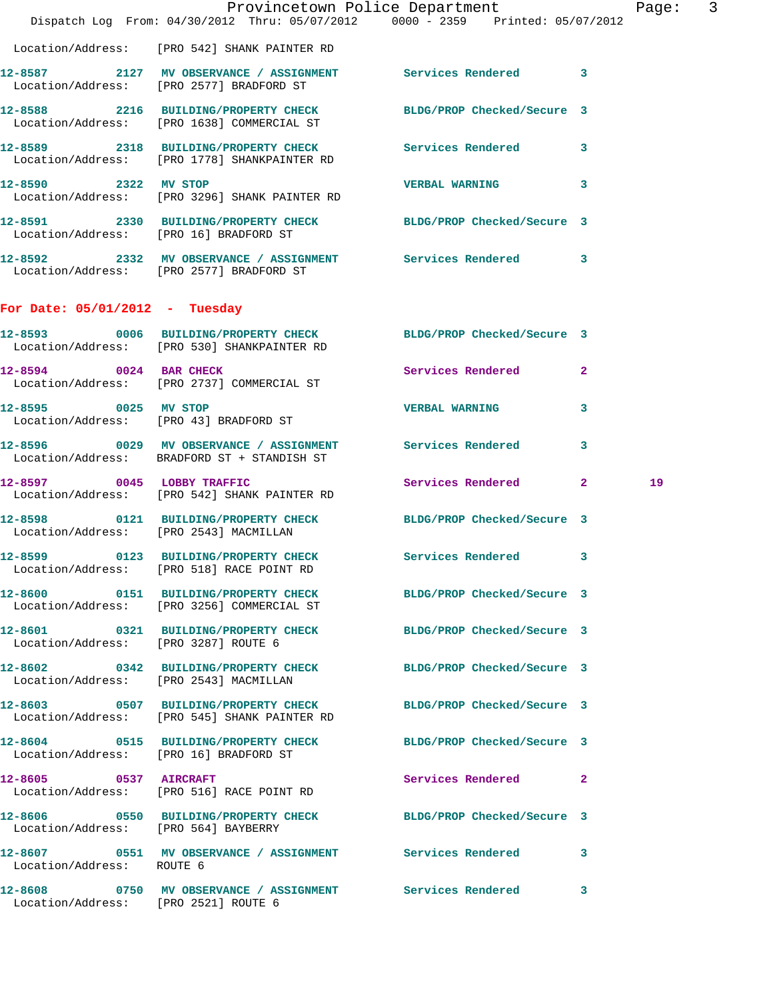|                                        | Dispatch Log From: 04/30/2012 Thru: 05/07/2012 0000 - 2359 Printed: 05/07/2012                                 | Provincetown Police Department |                | Page: 3 |  |
|----------------------------------------|----------------------------------------------------------------------------------------------------------------|--------------------------------|----------------|---------|--|
|                                        | Location/Address: [PRO 542] SHANK PAINTER RD                                                                   |                                |                |         |  |
|                                        | 12-8587 2127 MV OBSERVANCE / ASSIGNMENT Services Rendered 3<br>Location/Address: [PRO 2577] BRADFORD ST        |                                |                |         |  |
|                                        | 12-8588 2216 BUILDING/PROPERTY CHECK<br>Location/Address: [PRO 1638] COMMERCIAL ST                             | BLDG/PROP Checked/Secure 3     |                |         |  |
|                                        | 12-8589 2318 BUILDING/PROPERTY CHECK Services Rendered 3<br>Location/Address: [PRO 1778] SHANKPAINTER RD       |                                |                |         |  |
| 12-8590 2322 MV STOP                   | Location/Address: [PRO 3296] SHANK PAINTER RD                                                                  | <b>VERBAL WARNING</b>          | 3              |         |  |
| Location/Address: [PRO 16] BRADFORD ST | 12-8591 2330 BUILDING/PROPERTY CHECK BLDG/PROP Checked/Secure 3                                                |                                |                |         |  |
|                                        | 12-8592 2332 MV OBSERVANCE / ASSIGNMENT Services Rendered 3<br>Location/Address: [PRO 2577] BRADFORD ST        |                                |                |         |  |
| For Date: $05/01/2012$ - Tuesday       |                                                                                                                |                                |                |         |  |
|                                        | 12-8593 0006 BUILDING/PROPERTY CHECK BLDG/PROP Checked/Secure 3<br>Location/Address: [PRO 530] SHANKPAINTER RD |                                |                |         |  |
| 12-8594 0024 BAR CHECK                 | Location/Address: [PRO 2737] COMMERCIAL ST                                                                     | Services Rendered              | $\overline{2}$ |         |  |
| 12-8595 0025 MV STOP                   | Location/Address: [PRO 43] BRADFORD ST                                                                         | <b>VERBAL WARNING</b>          | 3              |         |  |
|                                        | 12-8596 0029 MV OBSERVANCE / ASSIGNMENT Services Rendered<br>Location/Address: BRADFORD ST + STANDISH ST       |                                | 3              |         |  |
| 12-8597 0045 LOBBY TRAFFIC             | Location/Address: [PRO 542] SHANK PAINTER RD                                                                   | Services Rendered 2            |                | 19      |  |
| Location/Address: [PRO 2543] MACMILLAN | 12-8598 0121 BUILDING/PROPERTY CHECK BLDG/PROP Checked/Secure 3                                                |                                |                |         |  |
| 12-8599                                | 0123 BUILDING/PROPERTY CHECK Services Rendered 3<br>Location/Address: [PRO 518] RACE POINT RD                  |                                |                |         |  |
|                                        | 12-8600 0151 BUILDING/PROPERTY CHECK BLDG/PROP Checked/Secure 3<br>Location/Address: [PRO 3256] COMMERCIAL ST  |                                |                |         |  |
| Location/Address: [PRO 3287] ROUTE 6   | 12-8601 0321 BUILDING/PROPERTY CHECK BLDG/PROP Checked/Secure 3                                                |                                |                |         |  |
| Location/Address: [PRO 2543] MACMILLAN | 12-8602 0342 BUILDING/PROPERTY CHECK BLDG/PROP Checked/Secure 3                                                |                                |                |         |  |
|                                        | 12-8603 0507 BUILDING/PROPERTY CHECK<br>Location/Address: [PRO 545] SHANK PAINTER RD                           | BLDG/PROP Checked/Secure 3     |                |         |  |
| Location/Address: [PRO 16] BRADFORD ST | 12-8604 0515 BUILDING/PROPERTY CHECK BLDG/PROP Checked/Secure 3                                                |                                |                |         |  |
| 12-8605 0537 AIRCRAFT                  | Location/Address: [PRO 516] RACE POINT RD                                                                      | Services Rendered 2            |                |         |  |
| Location/Address: [PRO 564] BAYBERRY   | 12-8606 0550 BUILDING/PROPERTY CHECK BLDG/PROP Checked/Secure 3                                                |                                |                |         |  |
| Location/Address: ROUTE 6              | 12-8607 0551 MV OBSERVANCE / ASSIGNMENT Services Rendered 3                                                    |                                |                |         |  |
| Location/Address: [PRO 2521] ROUTE 6   | 12-8608 0750 MV OBSERVANCE / ASSIGNMENT Services Rendered                                                      |                                | 3              |         |  |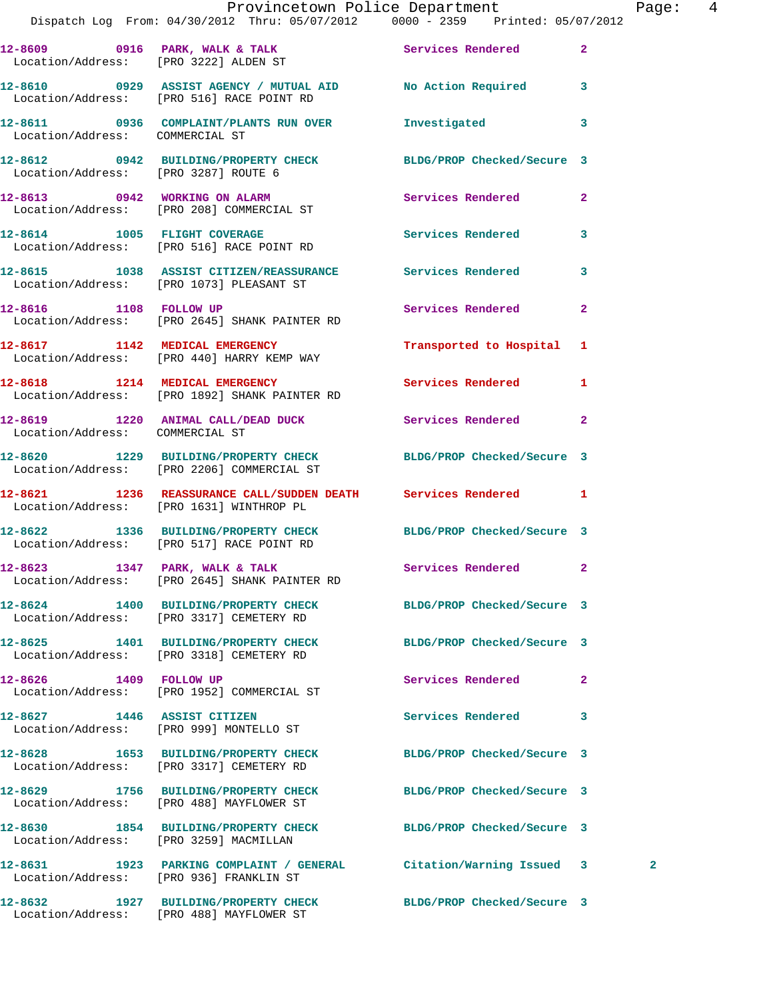|                                        | Provincetown Police Department<br>Dispatch Log From: 04/30/2012 Thru: 05/07/2012 0000 - 2359 Printed: 05/07/2012 |                            | Pag            |
|----------------------------------------|------------------------------------------------------------------------------------------------------------------|----------------------------|----------------|
|                                        |                                                                                                                  |                            | $\mathbf{2}$   |
|                                        | 12-8609 0916 PARK, WALK & TALK Services Rendered Location/Address: [PRO 3222] ALDEN ST                           |                            |                |
|                                        | 12-8610 0929 ASSIST AGENCY / MUTUAL AID No Action Required<br>Location/Address: [PRO 516] RACE POINT RD          |                            | 3              |
| Location/Address: COMMERCIAL ST        | 12-8611 0936 COMPLAINT/PLANTS RUN OVER Investigated                                                              |                            | 3              |
| Location/Address: [PRO 3287] ROUTE 6   | 12-8612 0942 BUILDING/PROPERTY CHECK BLDG/PROP Checked/Secure 3                                                  |                            |                |
|                                        | 12-8613 0942 WORKING ON ALARM<br>Location/Address: [PRO 208] COMMERCIAL ST                                       | Services Rendered          | $\overline{2}$ |
|                                        | 12-8614 1005 FLIGHT COVERAGE<br>Location/Address: [PRO 516] RACE POINT RD                                        | <b>Services Rendered</b>   | 3              |
|                                        | 12-8615 1038 ASSIST CITIZEN/REASSURANCE Services Rendered<br>Location/Address: [PRO 1073] PLEASANT ST            |                            | 3              |
|                                        | 12-8616 1108 FOLLOW UP<br>Location/Address: [PRO 2645] SHANK PAINTER RD                                          | Services Rendered          | $\mathbf{2}$   |
|                                        | 12-8617 1142 MEDICAL EMERGENCY<br>Location/Address: [PRO 440] HARRY KEMP WAY                                     | Transported to Hospital 1  |                |
|                                        | 12-8618 1214 MEDICAL EMERGENCY<br>Location/Address: [PRO 1892] SHANK PAINTER RD                                  | Services Rendered          | 1              |
| Location/Address: COMMERCIAL ST        | 12-8619 1220 ANIMAL CALL/DEAD DUCK Services Rendered                                                             |                            | $\mathbf{2}$   |
|                                        | 12-8620 1229 BUILDING/PROPERTY CHECK BLDG/PROP Checked/Secure 3<br>Location/Address: [PRO 2206] COMMERCIAL ST    |                            |                |
|                                        | 12-8621 1236 REASSURANCE CALL/SUDDEN DEATH Services Rendered 1<br>Location/Address: [PRO 1631] WINTHROP PL       |                            |                |
|                                        | 12-8622 1336 BUILDING/PROPERTY CHECK BLDG/PROP Checked/Secure 3<br>Location/Address: [PRO 517] RACE POINT RD     |                            |                |
|                                        | 12-8623 1347 PARK, WALK & TALK<br>Location/Address: [PRO 2645] SHANK PAINTER RD                                  | Services Rendered 2        |                |
|                                        | 12-8624 1400 BUILDING/PROPERTY CHECK<br>Location/Address: [PRO 3317] CEMETERY RD                                 | BLDG/PROP Checked/Secure 3 |                |
|                                        | 12-8625 1401 BUILDING/PROPERTY CHECK<br>Location/Address: [PRO 3318] CEMETERY RD                                 | BLDG/PROP Checked/Secure 3 |                |
|                                        | 12-8626 1409 FOLLOW UP<br>Location/Address: [PRO 1952] COMMERCIAL ST                                             | Services Rendered          | $\mathbf{2}$   |
| 12-8627 1446 ASSIST CITIZEN            | Location/Address: [PRO 999] MONTELLO ST                                                                          | Services Rendered          | 3              |
|                                        | 12-8628 1653 BUILDING/PROPERTY CHECK<br>Location/Address: [PRO 3317] CEMETERY RD                                 | BLDG/PROP Checked/Secure 3 |                |
|                                        | 12-8629 1756 BUILDING/PROPERTY CHECK<br>Location/Address: [PRO 488] MAYFLOWER ST                                 | BLDG/PROP Checked/Secure 3 |                |
| Location/Address: [PRO 3259] MACMILLAN | 12-8630 1854 BUILDING/PROPERTY CHECK                                                                             | BLDG/PROP Checked/Secure 3 |                |
|                                        | 12-8631 1923 PARKING COMPLAINT / GENERAL Citation/Warning Issued 3<br>Location/Address: [PRO 936] FRANKLIN ST    |                            | $\mathbf{2}$   |
|                                        | 12-8632 1927 BUILDING/PROPERTY CHECK BLDG/PROP Checked/Secure 3                                                  |                            |                |

Location/Address: [PRO 488] MAYFLOWER ST

Page: 4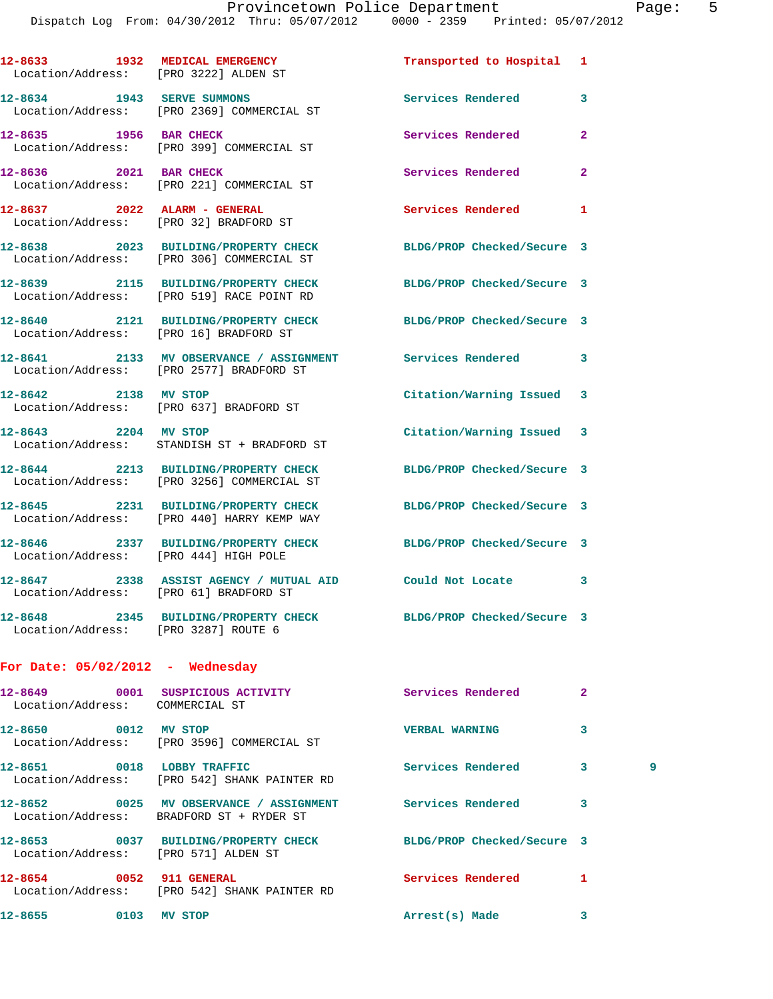|                                    | 12-8633 1932 MEDICAL EMERGENCY<br>Location/Address: [PRO 3222] ALDEN ST                                       | Transported to Hospital 1  |                |   |
|------------------------------------|---------------------------------------------------------------------------------------------------------------|----------------------------|----------------|---|
|                                    | 12-8634 1943 SERVE SUMMONS<br>Location/Address: [PRO 2369] COMMERCIAL ST                                      | Services Rendered          | 3              |   |
| 12-8635 1956 BAR CHECK             | Location/Address: [PRO 399] COMMERCIAL ST                                                                     | Services Rendered          | $\overline{a}$ |   |
|                                    | 12-8636 2021 BAR CHECK<br>Location/Address: [PRO 221] COMMERCIAL ST                                           | Services Rendered          | $\overline{a}$ |   |
|                                    | 12-8637 2022 ALARM - GENERAL<br>Location/Address: [PRO 32] BRADFORD ST                                        | <b>Services Rendered</b>   | 1              |   |
|                                    | 12-8638 2023 BUILDING/PROPERTY CHECK<br>Location/Address: [PRO 306] COMMERCIAL ST                             | BLDG/PROP Checked/Secure 3 |                |   |
|                                    | 12-8639 2115 BUILDING/PROPERTY CHECK BLDG/PROP Checked/Secure 3<br>Location/Address: [PRO 519] RACE POINT RD  |                            |                |   |
|                                    | 12-8640 2121 BUILDING/PROPERTY CHECK BLDG/PROP Checked/Secure 3<br>Location/Address: [PRO 16] BRADFORD ST     |                            |                |   |
|                                    | 12-8641 2133 MV OBSERVANCE / ASSIGNMENT Services Rendered<br>Location/Address: [PRO 2577] BRADFORD ST         |                            | 3              |   |
|                                    | 12-8642 2138 MV STOP<br>Location/Address: [PRO 637] BRADFORD ST                                               | Citation/Warning Issued 3  |                |   |
|                                    | 12-8643 2204 MV STOP<br>Location/Address: STANDISH ST + BRADFORD ST                                           | Citation/Warning Issued 3  |                |   |
|                                    | 12-8644 2213 BUILDING/PROPERTY CHECK BLDG/PROP Checked/Secure 3<br>Location/Address: [PRO 3256] COMMERCIAL ST |                            |                |   |
|                                    | 12-8645 2231 BUILDING/PROPERTY CHECK<br>Location/Address: [PRO 440] HARRY KEMP WAY                            | BLDG/PROP Checked/Secure 3 |                |   |
|                                    | 12-8646 2337 BUILDING/PROPERTY CHECK BLDG/PROP Checked/Secure 3<br>Location/Address: [PRO 444] HIGH POLE      |                            |                |   |
|                                    | 12-8647 2338 ASSIST AGENCY / MUTUAL AID Could Not Locate<br>Location/Address: [PRO 61] BRADFORD ST            |                            | 3              |   |
|                                    | 12-8648 2345 BUILDING/PROPERTY CHECK BLDG/PROP Checked/Secure 3<br>Location/Address: [PRO 3287] ROUTE 6       |                            |                |   |
| For Date: $05/02/2012$ - Wednesday |                                                                                                               |                            |                |   |
| Location/Address: COMMERCIAL ST    | 12-8649 0001 SUSPICIOUS ACTIVITY Services Rendered                                                            |                            | $\mathbf{2}$   |   |
| 12-8650 0012 MV STOP               | Location/Address: [PRO 3596] COMMERCIAL ST                                                                    | <b>VERBAL WARNING</b>      | 3              |   |
|                                    | 12-8651 0018 LOBBY TRAFFIC<br>Location/Address: [PRO 542] SHANK PAINTER RD                                    | Services Rendered          | 3              | 9 |
|                                    | 12-8652 0025 MV OBSERVANCE / ASSIGNMENT<br>Location/Address: BRADFORD ST + RYDER ST                           | Services Rendered          | 3              |   |
|                                    | 12-8653 0037 BUILDING/PROPERTY CHECK BLDG/PROP Checked/Secure 3<br>Location/Address: [PRO 571] ALDEN ST       |                            |                |   |
|                                    | 12-8654 0052 911 GENERAL<br>Location/Address: [PRO 542] SHANK PAINTER RD                                      | <b>Services Rendered</b>   | 1              |   |
| 12-8655 0103 MV STOP               |                                                                                                               | Arrest(s) Made             | 3              |   |
|                                    |                                                                                                               |                            |                |   |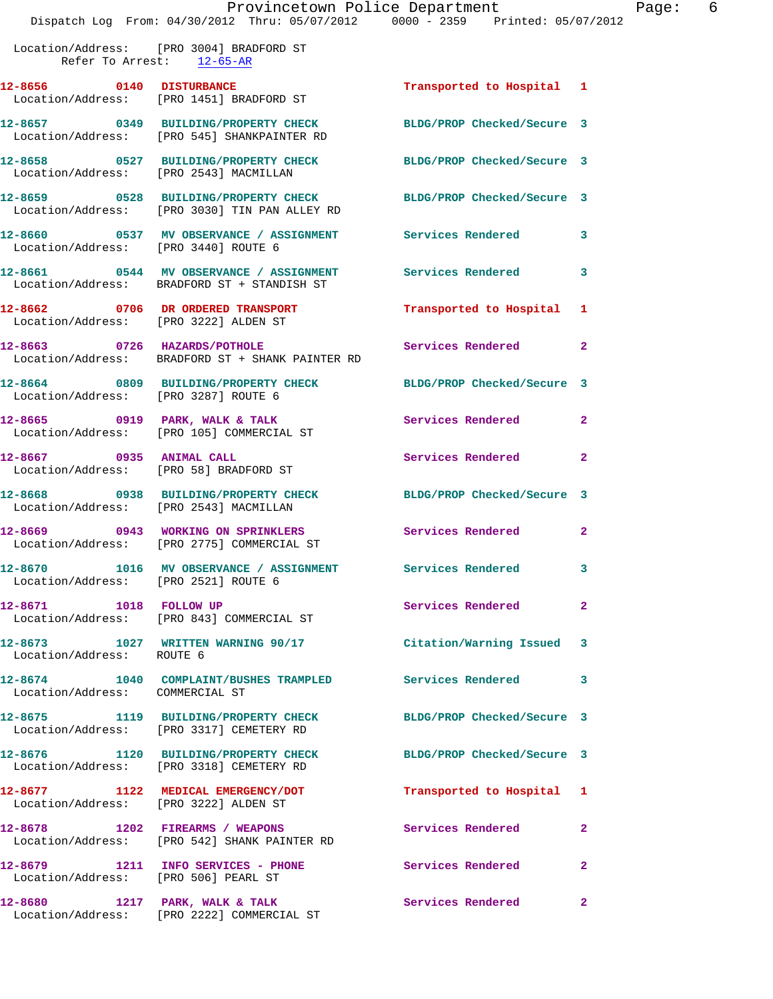Location/Address: [PRO 3004] BRADFORD ST Refer To Arrest: 12-65-AR

**12-8656 0140 DISTURBANCE Transported to Hospital 1**  Location/Address: [PRO 1451] BRADFORD ST **12-8657 0349 BUILDING/PROPERTY CHECK BLDG/PROP Checked/Secure 3**  Location/Address: [PRO 545] SHANKPAINTER RD **12-8658 0527 BUILDING/PROPERTY CHECK BLDG/PROP Checked/Secure 3**  Location/Address: [PRO 2543] MACMILLAN **12-8659 0528 BUILDING/PROPERTY CHECK BLDG/PROP Checked/Secure 3**  Location/Address: [PRO 3030] TIN PAN ALLEY RD **12-8660 0537 MV OBSERVANCE / ASSIGNMENT Services Rendered 3**  Location/Address: [PRO 3440] ROUTE 6 **12-8661 0544 MV OBSERVANCE / ASSIGNMENT Services Rendered 3**  Location/Address: BRADFORD ST + STANDISH ST **12-8662 0706 DR ORDERED TRANSPORT Transported to Hospital 1**  Location/Address: [PRO 3222] ALDEN ST **12-8663** 0726 HAZARDS/POTHOLE Services Rendered 2<br>
Location/Address: BRADFORD ST + SHANK PAINTER RD BRADFORD ST + SHANK PAINTER RD **12-8664 0809 BUILDING/PROPERTY CHECK BLDG/PROP Checked/Secure 3**  Location/Address: [PRO 3287] ROUTE 6 12-8665 0919 PARK, WALK & TALK **Services Rendered** 2 Location/Address: [PRO 105] COMMERCIAL ST **12-8667 0935 ANIMAL CALL Services Rendered 2**  Location/Address: [PRO 58] BRADFORD ST **12-8668 0938 BUILDING/PROPERTY CHECK BLDG/PROP Checked/Secure 3**  Location/Address: [PRO 2543] MACMILLAN **12-8669 0943 WORKING ON SPRINKLERS Services Rendered 2**  Location/Address: [PRO 2775] COMMERCIAL ST **12-8670 1016 MV OBSERVANCE / ASSIGNMENT Services Rendered 3**  Location/Address: [PRO 2521] ROUTE 6 12-8671 1018 FOLLOW UP **Services Rendered** 2 Location/Address: [PRO 843] COMMERCIAL ST **12-8673 1027 WRITTEN WARNING 90/17 Citation/Warning Issued 3**  Location/Address: ROUTE 6 **12-8674 1040 COMPLAINT/BUSHES TRAMPLED Services Rendered 3**  Location/Address: COMMERCIAL ST **12-8675 1119 BUILDING/PROPERTY CHECK BLDG/PROP Checked/Secure 3**  Location/Address: [PRO 3317] CEMETERY RD **12-8676 1120 BUILDING/PROPERTY CHECK BLDG/PROP Checked/Secure 3**  Location/Address: [PRO 3318] CEMETERY RD **12-8677 1122 MEDICAL EMERGENCY/DOT Transported to Hospital 1**  Location/Address: [PRO 3222] ALDEN ST **12-8678 1202 FIREARMS / WEAPONS Services Rendered 2**  Location/Address: [PRO 542] SHANK PAINTER RD **12-8679 1211 INFO SERVICES - PHONE Services Rendered 2**  Location/Address: [PRO 506] PEARL ST 12-8680 1217 PARK, WALK & TALK **Services Rendered** 2 Location/Address: [PRO 2222] COMMERCIAL ST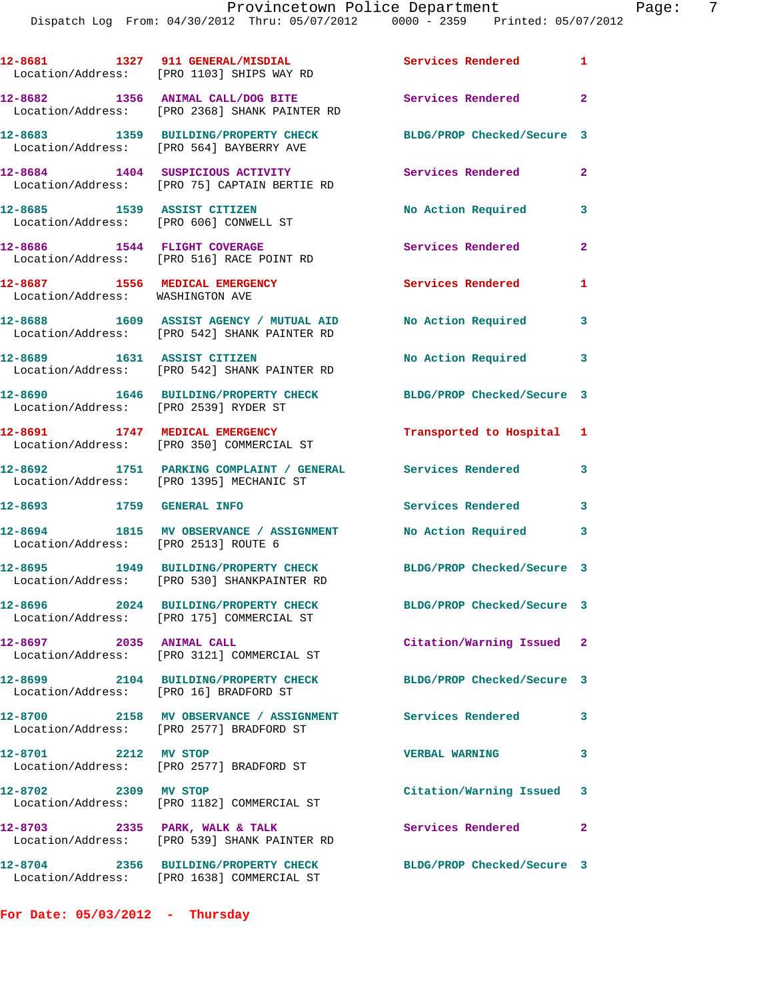|                                                                    | 12-8681 1327 911 GENERAL/MISDIAL Services Rendered<br>Location/Address: [PRO 1103] SHIPS WAY RD                |                            | $\mathbf{1}$               |
|--------------------------------------------------------------------|----------------------------------------------------------------------------------------------------------------|----------------------------|----------------------------|
|                                                                    | 12-8682 1356 ANIMAL CALL/DOG BITE<br>Location/Address: [PRO 2368] SHANK PAINTER RD                             | Services Rendered 2        |                            |
|                                                                    | 12-8683 1359 BUILDING/PROPERTY CHECK<br>Location/Address: [PRO 564] BAYBERRY AVE                               | BLDG/PROP Checked/Secure 3 |                            |
|                                                                    | 12-8684 1404 SUSPICIOUS ACTIVITY<br>Location/Address: [PRO 75] CAPTAIN BERTIE RD                               | Services Rendered          | $\mathbf{2}$               |
| 12-8685 1539 ASSIST CITIZEN                                        | Location/Address: [PRO 606] CONWELL ST                                                                         | No Action Required         | 3                          |
|                                                                    | 12-8686 1544 FLIGHT COVERAGE<br>Location/Address: [PRO 516] RACE POINT RD                                      | Services Rendered          | $\overline{2}$             |
| 12-8687 1556 MEDICAL EMERGENCY<br>Location/Address: WASHINGTON AVE |                                                                                                                | <b>Services Rendered</b>   | 1                          |
|                                                                    | 12-8688 1609 ASSIST AGENCY / MUTUAL AID<br>Location/Address: [PRO 542] SHANK PAINTER RD                        | No Action Required         | $\overline{\phantom{a}}$ 3 |
|                                                                    | 12-8689 1631 ASSIST CITIZEN<br>Location/Address: [PRO 542] SHANK PAINTER RD                                    | No Action Required         | $\overline{\mathbf{3}}$    |
| Location/Address: [PRO 2539] RYDER ST                              | 12-8690 1646 BUILDING/PROPERTY CHECK                                                                           | BLDG/PROP Checked/Secure 3 |                            |
|                                                                    | 12-8691 1747 MEDICAL EMERGENCY<br>Location/Address: [PRO 350] COMMERCIAL ST                                    | Transported to Hospital 1  |                            |
|                                                                    | 12-8692 1751 PARKING COMPLAINT / GENERAL Services Rendered 3<br>Location/Address: [PRO 1395] MECHANIC ST       |                            |                            |
|                                                                    |                                                                                                                | Services Rendered 3        |                            |
| Location/Address: [PRO 2513] ROUTE 6                               | 12-8694 1815 MV OBSERVANCE / ASSIGNMENT No Action Required 3                                                   |                            |                            |
|                                                                    | 12-8695 1949 BUILDING/PROPERTY CHECK BLDG/PROP Checked/Secure 3<br>Location/Address: [PRO 530] SHANKPAINTER RD |                            |                            |
|                                                                    | 12-8696 2024 BUILDING/PROPERTY CHECK<br>Location/Address: [PRO 175] COMMERCIAL ST                              | BLDG/PROP Checked/Secure 3 |                            |
| 12-8697 2035 ANIMAL CALL                                           | Location/Address: [PRO 3121] COMMERCIAL ST                                                                     | Citation/Warning Issued 2  |                            |
| Location/Address: [PRO 16] BRADFORD ST                             | 12-8699 2104 BUILDING/PROPERTY CHECK                                                                           | BLDG/PROP Checked/Secure 3 |                            |
|                                                                    | 12-8700 2158 MV OBSERVANCE / ASSIGNMENT Services Rendered 3<br>Location/Address: [PRO 2577] BRADFORD ST        |                            |                            |
| 12-8701 2212 MV STOP                                               | Location/Address: [PRO 2577] BRADFORD ST                                                                       | <b>VERBAL WARNING</b>      | 3                          |
| 12-8702 2309 MV STOP                                               | Location/Address: [PRO 1182] COMMERCIAL ST                                                                     | Citation/Warning Issued 3  |                            |
|                                                                    | 12-8703 2335 PARK, WALK & TALK<br>Location/Address: [PRO 539] SHANK PAINTER RD                                 | Services Rendered          | $\overline{\phantom{0}}$ 2 |
|                                                                    | 12-8704 2356 BUILDING/PROPERTY CHECK<br>Location/Address: [PRO 1638] COMMERCIAL ST                             | BLDG/PROP Checked/Secure 3 |                            |

**For Date: 05/03/2012 - Thursday**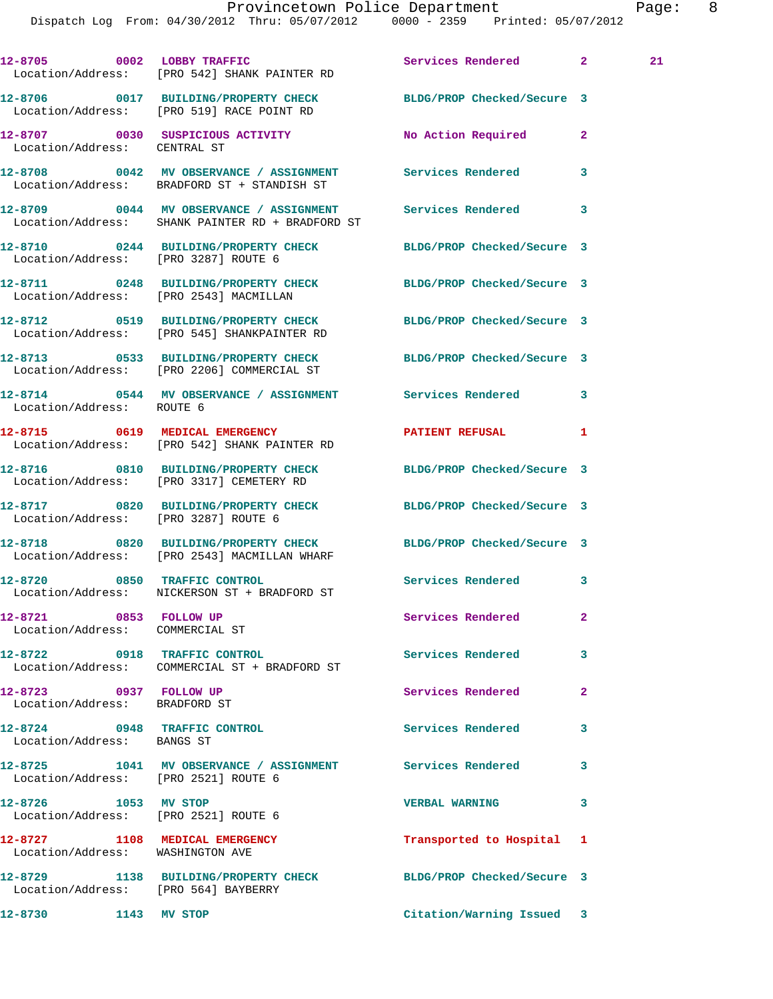Dispatch Log From: 04/30/2012 Thru: 05/07/2012 0000 - 2359 Printed: 05/07/2012

|                                                            | 12-8705 0002 LOBBY TRAFFIC<br>Location/Address: [PRO 542] SHANK PAINTER RD                                      | Services Rendered 2        |              | 21 |
|------------------------------------------------------------|-----------------------------------------------------------------------------------------------------------------|----------------------------|--------------|----|
|                                                            | 12-8706 0017 BUILDING/PROPERTY CHECK BLDG/PROP Checked/Secure 3<br>Location/Address: [PRO 519] RACE POINT RD    |                            |              |    |
|                                                            | 12-8707 0030 SUSPICIOUS ACTIVITY<br>Location/Address: CENTRAL ST                                                | No Action Required         | $\mathbf{2}$ |    |
|                                                            | 12-8708 0042 MV OBSERVANCE / ASSIGNMENT Services Rendered<br>Location/Address: BRADFORD ST + STANDISH ST        |                            | 3            |    |
|                                                            | 12-8709 0044 MV OBSERVANCE / ASSIGNMENT Services Rendered<br>Location/Address: SHANK PAINTER RD + BRADFORD ST   |                            | 3            |    |
|                                                            | 12-8710 0244 BUILDING/PROPERTY CHECK BLDG/PROP Checked/Secure 3<br>Location/Address: [PRO 3287] ROUTE 6         |                            |              |    |
|                                                            | 12-8711 0248 BUILDING/PROPERTY CHECK<br>Location/Address: [PRO 2543] MACMILLAN                                  | BLDG/PROP Checked/Secure 3 |              |    |
|                                                            | 12-8712 0519 BUILDING/PROPERTY CHECK BLDG/PROP Checked/Secure 3<br>Location/Address: [PRO 545] SHANKPAINTER RD  |                            |              |    |
|                                                            | 12-8713 0533 BUILDING/PROPERTY CHECK BLDG/PROP Checked/Secure 3<br>Location/Address: [PRO 2206] COMMERCIAL ST   |                            |              |    |
| Location/Address: ROUTE 6                                  | 12-8714 		 0544 MV OBSERVANCE / ASSIGNMENT Services Rendered                                                    |                            | 3            |    |
|                                                            | 12-8715 0619 MEDICAL EMERGENCY<br>Location/Address: [PRO 542] SHANK PAINTER RD                                  | PATIENT REFUSAL            | $\mathbf{1}$ |    |
|                                                            | 12-8716 0810 BUILDING/PROPERTY CHECK BLDG/PROP Checked/Secure 3<br>Location/Address: [PRO 3317] CEMETERY RD     |                            |              |    |
| Location/Address: [PRO 3287] ROUTE 6                       | 12-8717 0820 BUILDING/PROPERTY CHECK BLDG/PROP Checked/Secure 3                                                 |                            |              |    |
|                                                            | 12-8718 0820 BUILDING/PROPERTY CHECK BLDG/PROP Checked/Secure 3<br>Location/Address: [PRO 2543] MACMILLAN WHARF |                            |              |    |
|                                                            | 12-8720 0850 TRAFFIC CONTROL<br>Location/Address: NICKERSON ST + BRADFORD ST                                    | <b>Services Rendered</b>   | 3            |    |
| 12-8721 0853 FOLLOW UP<br>Location/Address: COMMERCIAL ST  |                                                                                                                 | Services Rendered          | $\mathbf{2}$ |    |
| 12-8722 0918 TRAFFIC CONTROL                               | Location/Address: COMMERCIAL ST + BRADFORD ST                                                                   | <b>Services Rendered</b>   | 3            |    |
| 12-8723 0937 FOLLOW UP<br>Location/Address: BRADFORD ST    |                                                                                                                 | Services Rendered          | $\mathbf{2}$ |    |
| 12-8724 0948 TRAFFIC CONTROL<br>Location/Address: BANGS ST |                                                                                                                 | <b>Services Rendered</b>   | 3            |    |
| Location/Address: [PRO 2521] ROUTE 6                       | 12-8725 1041 MV OBSERVANCE / ASSIGNMENT Services Rendered                                                       |                            | 3            |    |
| 12-8726 1053 MV STOP                                       | Location/Address: [PRO 2521] ROUTE 6                                                                            | <b>VERBAL WARNING</b>      | 3            |    |
| Location/Address: WASHINGTON AVE                           | 12-8727 1108 MEDICAL EMERGENCY                                                                                  | Transported to Hospital    | 1            |    |
| Location/Address: [PRO 564] BAYBERRY                       | 12-8729 1138 BUILDING/PROPERTY CHECK                                                                            | BLDG/PROP Checked/Secure 3 |              |    |
| 12-8730                                                    | 1143 MV STOP                                                                                                    | Citation/Warning Issued 3  |              |    |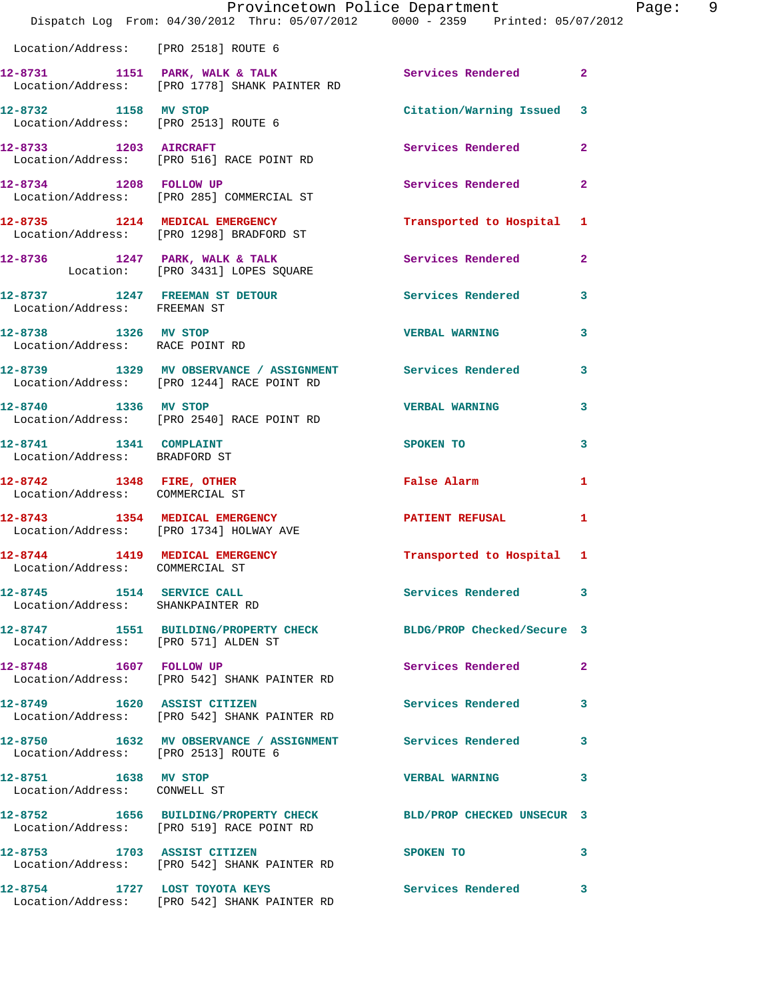|                                                                   | Dispatch Log From: 04/30/2012 Thru: 05/07/2012 0000 - 2359 Printed: 05/07/2012                           | Provincetown Police Department                                                                                 | Page: 9      |
|-------------------------------------------------------------------|----------------------------------------------------------------------------------------------------------|----------------------------------------------------------------------------------------------------------------|--------------|
| Location/Address: [PRO 2518] ROUTE 6                              |                                                                                                          |                                                                                                                |              |
|                                                                   | 12-8731 1151 PARK, WALK & TALK 1991 Services Rendered 2<br>Location/Address: [PRO 1778] SHANK PAINTER RD |                                                                                                                |              |
| 12-8732 1158 MV STOP                                              | Location/Address: [PRO 2513] ROUTE 6                                                                     | Citation/Warning Issued 3                                                                                      |              |
| 12-8733 1203 AIRCRAFT                                             | Location/Address: [PRO 516] RACE POINT RD                                                                | Services Rendered 2                                                                                            |              |
|                                                                   | 12-8734 1208 FOLLOW UP<br>Location/Address: [PRO 285] COMMERCIAL ST                                      | Services Rendered 2                                                                                            |              |
|                                                                   | 12-8735 1214 MEDICAL EMERGENCY<br>Location/Address: [PRO 1298] BRADFORD ST                               | Transported to Hospital 1                                                                                      |              |
|                                                                   | 12-8736 1247 PARK, WALK & TALK<br>Location: [PRO 3431] LOPES SQUARE                                      | Services Rendered 2                                                                                            |              |
| Location/Address: FREEMAN ST                                      | 12-8737 1247 FREEMAN ST DETOUR Services Rendered                                                         |                                                                                                                | $\mathbf{3}$ |
| 12-8738 1326 MV STOP                                              | Location/Address: RACE POINT RD                                                                          | <b>VERBAL WARNING</b>                                                                                          | $\mathbf{3}$ |
|                                                                   | 12-8739 1329 MV OBSERVANCE / ASSIGNMENT Services Rendered<br>Location/Address: [PRO 1244] RACE POINT RD  |                                                                                                                | 3            |
| 12-8740 1336 MV STOP                                              | Location/Address: [PRO 2540] RACE POINT RD                                                               | <b>VERBAL WARNING</b>                                                                                          | $\mathbf{3}$ |
| 12-8741 1341 COMPLAINT<br>Location/Address: BRADFORD ST           |                                                                                                          | SPOKEN TO                                                                                                      | 3            |
| 12-8742 1348 FIRE, OTHER<br>Location/Address: COMMERCIAL ST       |                                                                                                          | False Alarm and the state of the state of the state of the state of the state of the state of the state of the | 1            |
|                                                                   | 12-8743 1354 MEDICAL EMERGENCY<br>Location/Address: [PRO 1734] HOLWAY AVE                                | PATIENT REFUSAL                                                                                                | 1            |
| 12-8744 1419 MEDICAL EMERGENCY<br>Location/Address: COMMERCIAL ST |                                                                                                          | Transported to Hospital 1                                                                                      |              |
| 12-8745 1514 SERVICE CALL<br>Location/Address: SHANKPAINTER RD    |                                                                                                          | Services Rendered 3                                                                                            |              |
| Location/Address: [PRO 571] ALDEN ST                              | 12-8747 1551 BUILDING/PROPERTY CHECK BLDG/PROP Checked/Secure 3                                          |                                                                                                                |              |
|                                                                   | 12-8748 1607 FOLLOW UP<br>Location/Address: [PRO 542] SHANK PAINTER RD                                   | Services Rendered                                                                                              | $\mathbf{2}$ |
|                                                                   | 12-8749 1620 ASSIST CITIZEN<br>Location/Address: [PRO 542] SHANK PAINTER RD                              | <b>Services Rendered</b> 3                                                                                     |              |
| Location/Address: [PRO 2513] ROUTE 6                              | 12-8750 1632 MV OBSERVANCE / ASSIGNMENT Services Rendered 3                                              |                                                                                                                |              |
| 12-8751 1638 MV STOP<br>Location/Address: CONWELL ST              |                                                                                                          | VERBAL WARNING 3                                                                                               |              |
|                                                                   | 12-8752 1656 BUILDING/PROPERTY CHECK<br>Location/Address: [PRO 519] RACE POINT RD                        | BLD/PROP CHECKED UNSECUR 3                                                                                     |              |
| 12-8753 1703 ASSIST CITIZEN                                       | Location/Address: [PRO 542] SHANK PAINTER RD                                                             | SPOKEN TO                                                                                                      | 3            |
|                                                                   | 12-8754 1727 LOST TOYOTA KEYS<br>Location/Address: [PRO 542] SHANK PAINTER RD                            | Services Rendered 3                                                                                            |              |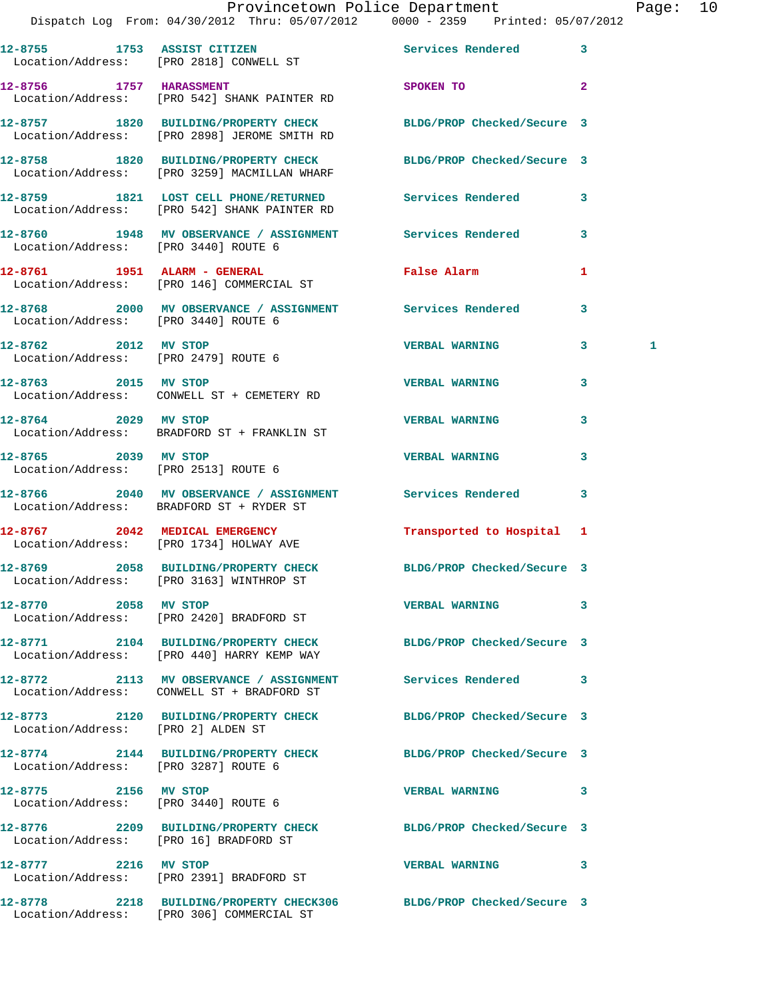## Provincetown Police Department Page: 10

Dispatch Log From: 04/30/2012 Thru: 05/07/2012 0000 - 2359 Printed: 05/07/2012

|                                                              | DISPULCII DOGA FIOM. 07/00/2012 THIN. 09/07/2012                                                                | <b>bood</b>                |                |  |
|--------------------------------------------------------------|-----------------------------------------------------------------------------------------------------------------|----------------------------|----------------|--|
|                                                              | 12-8755 1753 ASSIST CITIZEN<br>Location/Address: [PRO 2818] CONWELL ST                                          | Services Rendered          | 3              |  |
|                                                              | 12-8756 1757 HARASSMENT<br>Location/Address: [PRO 542] SHANK PAINTER RD                                         | SPOKEN TO                  | $\overline{a}$ |  |
|                                                              | 12-8757 1820 BUILDING/PROPERTY CHECK BLDG/PROP Checked/Secure 3<br>Location/Address: [PRO 2898] JEROME SMITH RD |                            |                |  |
|                                                              | 12-8758 1820 BUILDING/PROPERTY CHECK BLDG/PROP Checked/Secure 3<br>Location/Address: [PRO 3259] MACMILLAN WHARF |                            |                |  |
|                                                              | 12-8759 1821 LOST CELL PHONE/RETURNED Services Rendered<br>Location/Address: [PRO 542] SHANK PAINTER RD         |                            | 3              |  |
| Location/Address: [PRO 3440] ROUTE 6                         | 12-8760 1948 MV OBSERVANCE / ASSIGNMENT Services Rendered                                                       |                            | 3              |  |
|                                                              | 12-8761 1951 ALARM - GENERAL<br>Location/Address: [PRO 146] COMMERCIAL ST                                       | <b>False Alarm</b>         | 1              |  |
| Location/Address: [PRO 3440] ROUTE 6                         | 12-8768 2000 MV OBSERVANCE / ASSIGNMENT Services Rendered                                                       |                            | 3              |  |
| 12-8762 2012 MV STOP<br>Location/Address: [PRO 2479] ROUTE 6 |                                                                                                                 | <b>VERBAL WARNING</b>      | 3<br>1         |  |
| 12-8763 2015 MV STOP                                         | Location/Address: CONWELL ST + CEMETERY RD                                                                      | <b>VERBAL WARNING</b>      | 3              |  |
|                                                              | 12-8764 2029 MV STOP<br>Location/Address: BRADFORD ST + FRANKLIN ST                                             | <b>VERBAL WARNING</b>      | 3              |  |
| 12-8765 2039 MV STOP                                         | Location/Address: [PRO 2513] ROUTE 6                                                                            | <b>VERBAL WARNING</b>      | 3              |  |
|                                                              | 12-8766 2040 MV OBSERVANCE / ASSIGNMENT Services Rendered<br>Location/Address: BRADFORD ST + RYDER ST           |                            | 3              |  |
|                                                              | 12-8767 2042 MEDICAL EMERGENCY Transported to Hospital 1<br>Location/Address: [PRO 1734] HOLWAY AVE             |                            |                |  |
|                                                              | 12-8769 2058 BUILDING/PROPERTY CHECK BLDG/PROP Checked/Secure 3<br>Location/Address: [PRO 3163] WINTHROP ST     |                            |                |  |
| 12-8770 2058 MV STOP                                         | Location/Address: [PRO 2420] BRADFORD ST                                                                        | <b>VERBAL WARNING</b>      | 3              |  |
|                                                              | 12-8771 2104 BUILDING/PROPERTY CHECK BLDG/PROP Checked/Secure 3<br>Location/Address: [PRO 440] HARRY KEMP WAY   |                            |                |  |
|                                                              | 12-8772 2113 MV OBSERVANCE / ASSIGNMENT Services Rendered<br>Location/Address: CONWELL ST + BRADFORD ST         |                            | 3              |  |
| Location/Address: [PRO 2] ALDEN ST                           | 12-8773 2120 BUILDING/PROPERTY CHECK                                                                            | BLDG/PROP Checked/Secure 3 |                |  |
| Location/Address: [PRO 3287] ROUTE 6                         | 12-8774 2144 BUILDING/PROPERTY CHECK BLDG/PROP Checked/Secure 3                                                 |                            |                |  |
| 12-8775 2156 MV STOP                                         | Location/Address: [PRO 3440] ROUTE 6                                                                            | <b>VERBAL WARNING</b>      | 3              |  |
| Location/Address: [PRO 16] BRADFORD ST                       | 12-8776 2209 BUILDING/PROPERTY CHECK BLDG/PROP Checked/Secure 3                                                 |                            |                |  |
| 12-8777 2216 MV STOP                                         | Location/Address: [PRO 2391] BRADFORD ST                                                                        | <b>VERBAL WARNING</b>      | 3              |  |
|                                                              | 12-8778 2218 BUILDING/PROPERTY CHECK306 BLDG/PROP Checked/Secure 3<br>Location/Address: [PRO 306] COMMERCIAL ST |                            |                |  |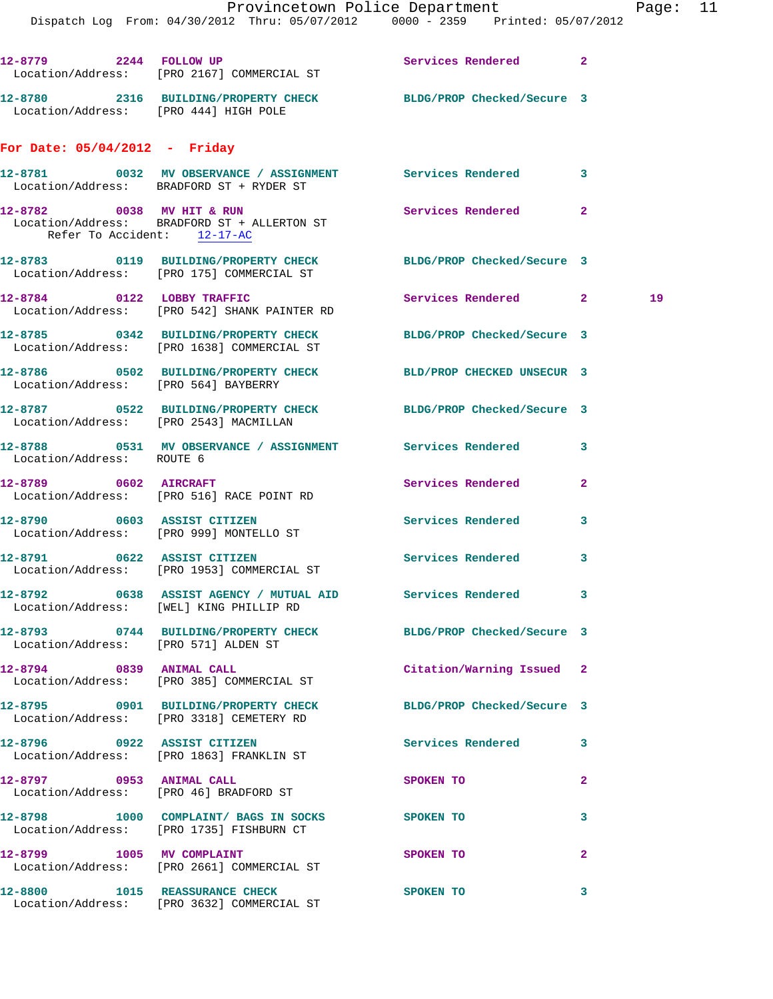Provincetown Police Department Fage: 11 Dispatch Log From: 04/30/2012 Thru: 05/07/2012 0000 - 2359 Printed: 05/07/2012 **12-8779 2244 FOLLOW UP Services Rendered 2**  Location/Address: [PRO 2167] COMMERCIAL ST **12-8780 2316 BUILDING/PROPERTY CHECK BLDG/PROP Checked/Secure 3**  Location/Address: [PRO 444] HIGH POLE **For Date: 05/04/2012 - Friday 12-8781 0032 MV OBSERVANCE / ASSIGNMENT Services Rendered 3**  Location/Address: BRADFORD ST + RYDER ST **12-8782 0038 MV HIT & RUN Services Rendered 2**  Location/Address: BRADFORD ST + ALLERTON ST Refer To Accident: 12-17-AC **12-8783 0119 BUILDING/PROPERTY CHECK BLDG/PROP Checked/Secure 3**  Location/Address: [PRO 175] COMMERCIAL ST **12-8784 0122 LOBBY TRAFFIC Services Rendered 2 19**  Location/Address: [PRO 542] SHANK PAINTER RD **12-8785 0342 BUILDING/PROPERTY CHECK BLDG/PROP Checked/Secure 3**  Location/Address: [PRO 1638] COMMERCIAL ST **12-8786 0502 BUILDING/PROPERTY CHECK BLD/PROP CHECKED UNSECUR 3**  Location/Address: [PRO 564] BAYBERRY **12-8787 0522 BUILDING/PROPERTY CHECK BLDG/PROP Checked/Secure 3**  Location/Address: [PRO 2543] MACMILLAN **12-8788 0531 MV OBSERVANCE / ASSIGNMENT Services Rendered 3**  Location/Address: ROUTE 6 **12-8789 0602 AIRCRAFT Services Rendered 2**  Location/Address: [PRO 516] RACE POINT RD **12-8790 0603 ASSIST CITIZEN Services Rendered 3** 

**12-8792 0638 ASSIST AGENCY / MUTUAL AID Services Rendered 3**  Location/Address: [WEL] KING PHILLIP RD **12-8793 0744 BUILDING/PROPERTY CHECK BLDG/PROP Checked/Secure 3**  Location/Address: [PRO 571] ALDEN ST **12-8794 0839 ANIMAL CALL Citation/Warning Issued 2**  Location/Address: [PRO 385] COMMERCIAL ST

 Location/Address: [PRO 3318] CEMETERY RD **12-8796 0922 ASSIST CITIZEN Services Rendered 3**  Location/Address: [PRO 1863] FRANKLIN ST

Location/Address: [PRO 999] MONTELLO ST

Location/Address: [PRO 1953] COMMERCIAL ST

Location/Address: [PRO 46] BRADFORD ST

Location/Address: [PRO 1735] FISHBURN CT

12-8797 0953 ANIMAL CALL SPOKEN TO 2

**12-8798 1000 COMPLAINT/ BAGS IN SOCKS SPOKEN TO 3** 

**12-8800 1015 REASSURANCE CHECK SPOKEN TO 3**  Location/Address: [PRO 3632] COMMERCIAL ST

- 
- **12-8791 0622 ASSIST CITIZEN Services Rendered 3** 
	- -
		-
- **12-8795 0901 BUILDING/PROPERTY CHECK BLDG/PROP Checked/Secure 3** 
	-
	-
	-
	-
- **12-8799 1005 MV COMPLAINT SPOKEN TO 2** Location/Address: [PRO 2661] COMMERCIAL ST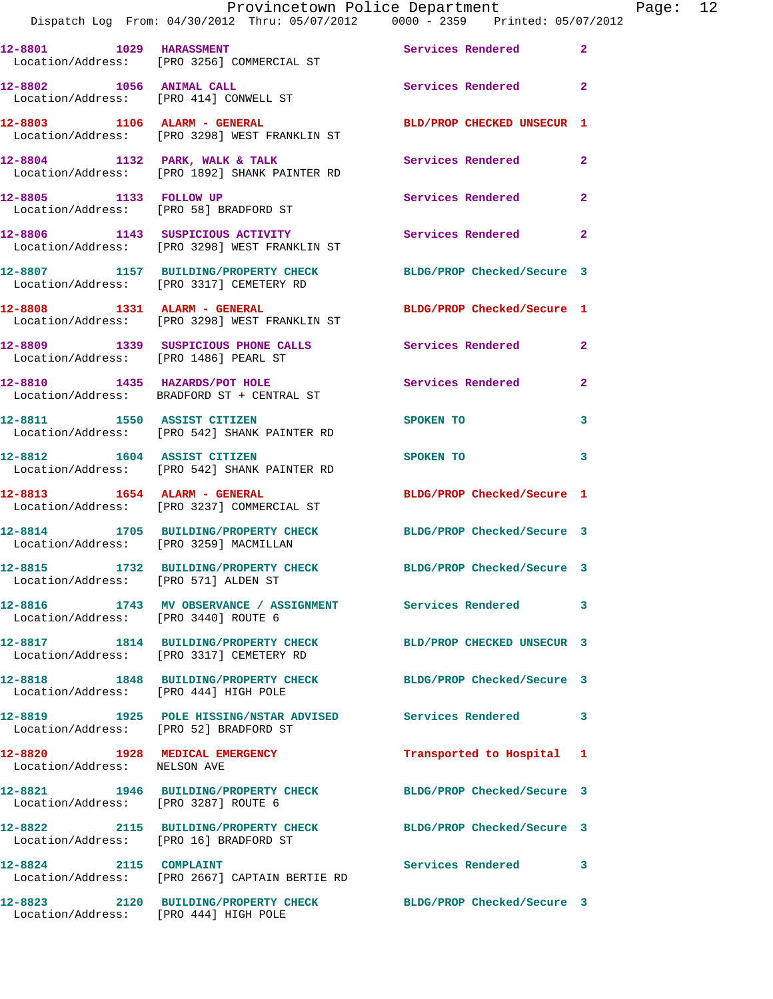|                                        | Dispatch Log From: 04/30/2012 Thru: 05/07/2012 0000 - 2359 Printed: 05/07/2012                              | Provincetown Police Department The Rage: 12 |              |
|----------------------------------------|-------------------------------------------------------------------------------------------------------------|---------------------------------------------|--------------|
|                                        | 12-8801 1029 HARASSMENT<br>Location/Address: [PRO 3256] COMMERCIAL ST                                       | Services Rendered                           | $\mathbf{2}$ |
|                                        | 12-8802 1056 ANIMAL CALL<br>Location/Address: [PRO 414] CONWELL ST                                          | Services Rendered 2                         |              |
|                                        | 12-8803 1106 ALARM - GENERAL<br>Location/Address: [PRO 3298] WEST FRANKLIN ST                               | BLD/PROP CHECKED UNSECUR 1                  |              |
|                                        | 12-8804 1132 PARK, WALK & TALK Services Rendered<br>Location/Address: [PRO 1892] SHANK PAINTER RD           |                                             | $\mathbf{2}$ |
|                                        | 12-8805 1133 FOLLOW UP<br>Location/Address: [PRO 58] BRADFORD ST                                            | Services Rendered                           | $\mathbf{2}$ |
|                                        | 12-8806 1143 SUSPICIOUS ACTIVITY<br>Location/Address: [PRO 3298] WEST FRANKLIN ST                           | Services Rendered                           | $\mathbf{2}$ |
|                                        | 12-8807 1157 BUILDING/PROPERTY CHECK BLDG/PROP Checked/Secure 3<br>Location/Address: [PRO 3317] CEMETERY RD |                                             |              |
|                                        | 12-8808 1331 ALARM - GENERAL<br>Location/Address: [PRO 3298] WEST FRANKLIN ST                               | BLDG/PROP Checked/Secure 1                  |              |
|                                        | 12-8809 1339 SUSPICIOUS PHONE CALLS Services Rendered 2<br>Location/Address: [PRO 1486] PEARL ST            |                                             |              |
|                                        | 12-8810 1435 HAZARDS/POT HOLE<br>Location/Address: BRADFORD ST + CENTRAL ST                                 | <b>Services Rendered</b>                    | $\mathbf{2}$ |
|                                        | 12-8811 1550 ASSIST CITIZEN<br>Location/Address: [PRO 542] SHANK PAINTER RD                                 | SPOKEN TO                                   | 3            |
|                                        | 12-8812 1604 ASSIST CITIZEN<br>Location/Address: [PRO 542] SHANK PAINTER RD                                 | SPOKEN TO                                   | 3            |
| $12-8813$ $1654$ ALARM - GENERAL       | Location/Address: [PRO 3237] COMMERCIAL ST                                                                  | BLDG/PROP Checked/Secure 1                  |              |
|                                        | 12-8814 1705 BUILDING/PROPERTY CHECK BLDG/PROP Checked/Secure 3<br>Location/Address: [PRO 3259] MACMILLAN   |                                             |              |
| Location/Address: [PRO 571] ALDEN ST   | 12-8815 1732 BUILDING/PROPERTY CHECK BLDG/PROP Checked/Secure 3                                             |                                             |              |
| Location/Address: [PRO 3440] ROUTE 6   | 12-8816 1743 MV OBSERVANCE / ASSIGNMENT Services Rendered                                                   |                                             | 3            |
|                                        | 12-8817 1814 BUILDING/PROPERTY CHECK<br>Location/Address: [PRO 3317] CEMETERY RD                            | BLD/PROP CHECKED UNSECUR 3                  |              |
| Location/Address: [PRO 444] HIGH POLE  | 12-8818 1848 BUILDING/PROPERTY CHECK BLDG/PROP Checked/Secure 3                                             |                                             |              |
| Location/Address: [PRO 52] BRADFORD ST | 12-8819 1925 POLE HISSING/NSTAR ADVISED Services Rendered 3                                                 |                                             |              |
| Location/Address: NELSON AVE           | 12-8820 1928 MEDICAL EMERGENCY                                                                              | Transported to Hospital 1                   |              |
| Location/Address: [PRO 3287] ROUTE 6   | 12-8821 1946 BUILDING/PROPERTY CHECK BLDG/PROP Checked/Secure 3                                             |                                             |              |
| Location/Address: [PRO 16] BRADFORD ST | 12-8822 2115 BUILDING/PROPERTY CHECK BLDG/PROP Checked/Secure 3                                             |                                             |              |
| 12-8824 2115 COMPLAINT                 | Location/Address: [PRO 2667] CAPTAIN BERTIE RD                                                              | Services Rendered 3                         |              |
|                                        | 12-8823 2120 BUILDING/PROPERTY CHECK                                                                        | BLDG/PROP Checked/Secure 3                  |              |

Location/Address: [PRO 444] HIGH POLE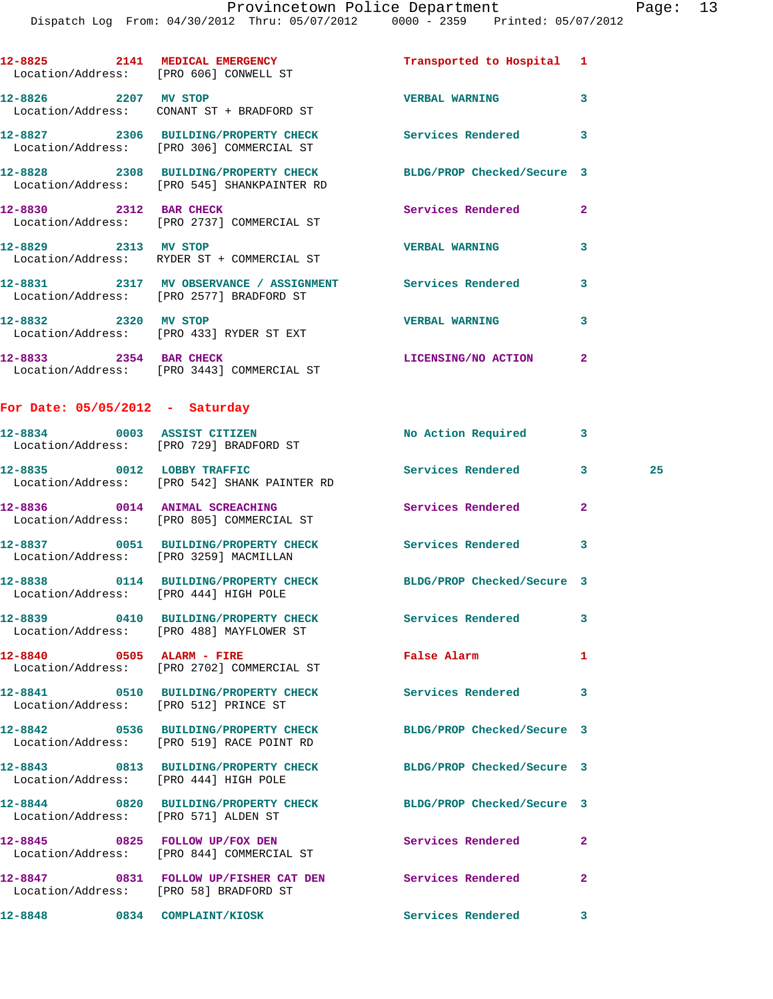**12-8825 2141 MEDICAL EMERGENCY Transported to Hospital 1** 

|                                       | Location/Address: [PRO 606] CONWELL ST                                                                         |                            |                |    |
|---------------------------------------|----------------------------------------------------------------------------------------------------------------|----------------------------|----------------|----|
| 12-8826 2207 MV STOP                  | Location/Address: CONANT ST + BRADFORD ST                                                                      | <b>VERBAL WARNING</b>      | 3              |    |
|                                       | 12-8827 2306 BUILDING/PROPERTY CHECK<br>Location/Address: [PRO 306] COMMERCIAL ST                              | Services Rendered          | 3              |    |
|                                       | 12-8828 2308 BUILDING/PROPERTY CHECK BLDG/PROP Checked/Secure 3<br>Location/Address: [PRO 545] SHANKPAINTER RD |                            |                |    |
|                                       | 12-8830 2312 BAR CHECK<br>Location/Address: [PRO 2737] COMMERCIAL ST                                           | Services Rendered          | $\mathbf{2}$   |    |
| 12-8829 2313 MV STOP                  | Location/Address: RYDER ST + COMMERCIAL ST                                                                     | <b>VERBAL WARNING</b>      | 3              |    |
|                                       | 12-8831 2317 MV OBSERVANCE / ASSIGNMENT Services Rendered<br>Location/Address: [PRO 2577] BRADFORD ST          |                            | 3              |    |
| 12-8832 2320 MV STOP                  | Location/Address: [PRO 433] RYDER ST EXT                                                                       | <b>VERBAL WARNING</b>      | 3              |    |
|                                       | 12-8833 2354 BAR CHECK<br>Location/Address: [PRO 3443] COMMERCIAL ST                                           | LICENSING/NO ACTION        | $\overline{2}$ |    |
| For Date: $05/05/2012$ - Saturday     |                                                                                                                |                            |                |    |
|                                       | 12-8834 0003 ASSIST CITIZEN<br>Location/Address: [PRO 729] BRADFORD ST                                         | No Action Required 3       |                |    |
|                                       | 12-8835 0012 LOBBY TRAFFIC<br>Location/Address: [PRO 542] SHANK PAINTER RD                                     | Services Rendered 3        |                | 25 |
|                                       | 12-8836 0014 ANIMAL SCREACHING<br>Location/Address: [PRO 805] COMMERCIAL ST                                    | Services Rendered          | $\mathbf{2}$   |    |
|                                       | 12-8837 0051 BUILDING/PROPERTY CHECK<br>Location/Address: [PRO 3259] MACMILLAN                                 | Services Rendered          | 3              |    |
|                                       | 12-8838 0114 BUILDING/PROPERTY CHECK BLDG/PROP Checked/Secure 3<br>Location/Address: [PRO 444] HIGH POLE       |                            |                |    |
|                                       | 12-8839 0410 BUILDING/PROPERTY CHECK Services Rendered<br>Location/Address: [PRO 488] MAYFLOWER ST             |                            | 3              |    |
|                                       | 12-8840 0505 ALARM - FIRE<br>Location/Address: [PRO 2702] COMMERCIAL ST                                        | <b>False Alarm</b>         | 1              |    |
| Location/Address: [PRO 512] PRINCE ST | 12-8841 0510 BUILDING/PROPERTY CHECK Services Rendered                                                         |                            | 3              |    |
|                                       | 12-8842 0536 BUILDING/PROPERTY CHECK<br>Location/Address: [PRO 519] RACE POINT RD                              | BLDG/PROP Checked/Secure 3 |                |    |
| Location/Address: [PRO 444] HIGH POLE | 12-8843 0813 BUILDING/PROPERTY CHECK                                                                           | BLDG/PROP Checked/Secure 3 |                |    |
| Location/Address: [PRO 571] ALDEN ST  | 12-8844 0820 BUILDING/PROPERTY CHECK                                                                           | BLDG/PROP Checked/Secure 3 |                |    |
|                                       | 12-8845 0825 FOLLOW UP/FOX DEN<br>Location/Address: [PRO 844] COMMERCIAL ST                                    | Services Rendered          | $\mathbf{2}$   |    |
|                                       | 12-8847 0831 FOLLOW UP/FISHER CAT DEN<br>Location/Address: [PRO 58] BRADFORD ST                                | Services Rendered          | $\mathbf{2}$   |    |
| 12-8848 0834 COMPLAINT/KIOSK          |                                                                                                                | Services Rendered          | 3              |    |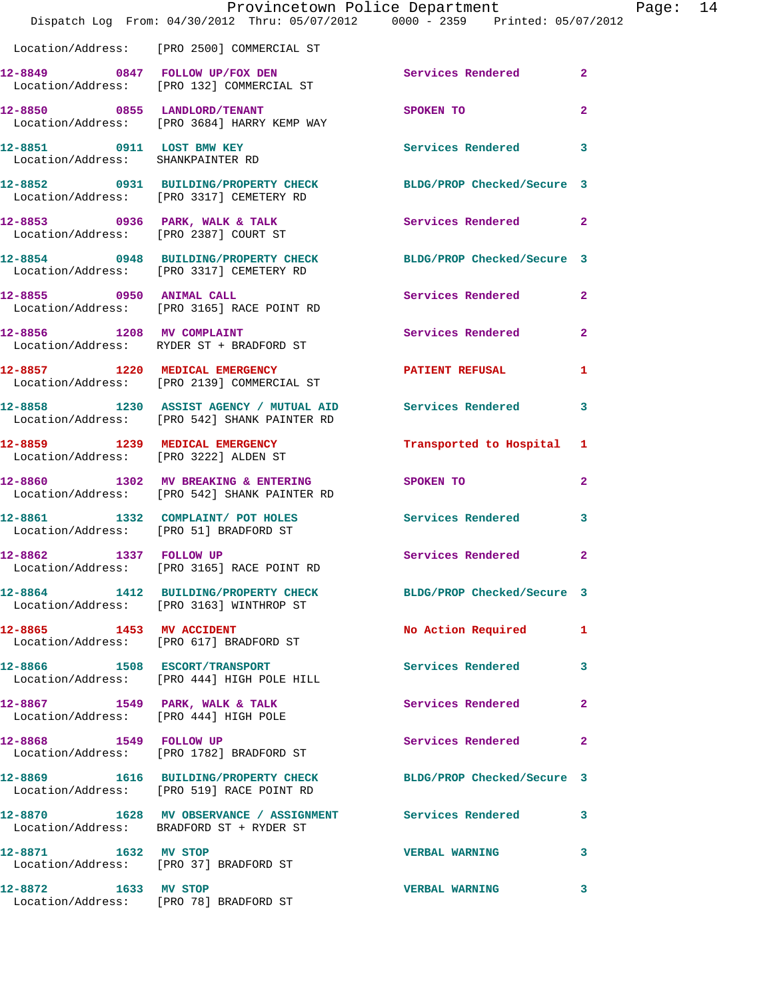|                                                                | Provincetown Police Department<br>Dispatch Log From: 04/30/2012 Thru: 05/07/2012 0000 - 2359 Printed: 05/07/2012 |                            |                         |
|----------------------------------------------------------------|------------------------------------------------------------------------------------------------------------------|----------------------------|-------------------------|
|                                                                | Location/Address: [PRO 2500] COMMERCIAL ST                                                                       |                            |                         |
|                                                                | 12-8849 0847 FOLLOW UP/FOX DEN<br>Location/Address: [PRO 132] COMMERCIAL ST                                      | Services Rendered          | $\overline{2}$          |
|                                                                | 12-8850 0855 LANDLORD/TENANT<br>Location/Address: [PRO 3684] HARRY KEMP WAY                                      | SPOKEN TO                  | $\overline{2}$          |
| 12-8851 0911 LOST BMW KEY<br>Location/Address: SHANKPAINTER RD |                                                                                                                  | <b>Services Rendered</b>   | 3                       |
|                                                                | 12-8852 0931 BUILDING/PROPERTY CHECK<br>Location/Address: [PRO 3317] CEMETERY RD                                 | BLDG/PROP Checked/Secure 3 |                         |
|                                                                | $12-8853$ 0936 PARK, WALK & TALK<br>Location/Address: [PRO 2387] COURT ST                                        | Services Rendered          | $\overline{\mathbf{2}}$ |
|                                                                | 12-8854 0948 BUILDING/PROPERTY CHECK<br>Location/Address: [PRO 3317] CEMETERY RD                                 | BLDG/PROP Checked/Secure 3 |                         |
|                                                                | 12-8855 0950 ANIMAL CALL<br>Location/Address: [PRO 3165] RACE POINT RD                                           | Services Rendered          | $\overline{\mathbf{2}}$ |
| 12-8856 1208 MV COMPLAINT                                      | Location/Address: RYDER ST + BRADFORD ST                                                                         | Services Rendered          | $\overline{\mathbf{2}}$ |
|                                                                | 12-8857 1220 MEDICAL EMERGENCY<br>Location/Address: [PRO 2139] COMMERCIAL ST                                     | <b>PATIENT REFUSAL</b>     | 1                       |
|                                                                | 12-8858 1230 ASSIST AGENCY / MUTUAL AID Services Rendered<br>Location/Address: [PRO 542] SHANK PAINTER RD        |                            | 3                       |
| Location/Address: [PRO 3222] ALDEN ST                          | 12-8859 1239 MEDICAL EMERGENCY                                                                                   | Transported to Hospital    | 1                       |
|                                                                | 12-8860 1302 MV BREAKING & ENTERING<br>Location/Address: [PRO 542] SHANK PAINTER RD                              | SPOKEN TO                  | $\overline{\mathbf{2}}$ |
| Location/Address: [PRO 51] BRADFORD ST                         | 12-8861 1332 COMPLAINT/ POT HOLES                                                                                | <b>Services Rendered</b>   | 3                       |
|                                                                | 12-8862 1337 FOLLOW UP<br>Location/Address: [PRO 3165] RACE POINT RD                                             | <b>Services Rendered</b>   |                         |
|                                                                | 12-8864 1412 BUILDING/PROPERTY CHECK<br>Location/Address: [PRO 3163] WINTHROP ST                                 | BLDG/PROP Checked/Secure 3 |                         |
| 12-8865 1453 MV ACCIDENT                                       | Location/Address: [PRO 617] BRADFORD ST                                                                          | No Action Required         | 1                       |
|                                                                | 12-8866 1508 ESCORT/TRANSPORT<br>Location/Address: [PRO 444] HIGH POLE HILL                                      | Services Rendered          | 3                       |
| 12-8867 1549 PARK, WALK & TALK                                 | Location/Address: [PRO 444] HIGH POLE                                                                            | Services Rendered          | $\overline{a}$          |
|                                                                | 12-8868 1549 FOLLOW UP<br>Location/Address: [PRO 1782] BRADFORD ST                                               | Services Rendered          | $\overline{\mathbf{2}}$ |
|                                                                | 12-8869 1616 BUILDING/PROPERTY CHECK BLDG/PROP Checked/Secure 3<br>Location/Address: [PRO 519] RACE POINT RD     |                            |                         |
|                                                                | 12-8870 1628 MV OBSERVANCE / ASSIGNMENT Services Rendered<br>Location/Address: BRADFORD ST + RYDER ST            |                            | 3                       |
| 12-8871 1632 MV STOP                                           | Location/Address: [PRO 37] BRADFORD ST                                                                           | <b>VERBAL WARNING</b>      | 3                       |
| 12-8872 1633 MV STOP<br>Location/Address: [PRO 78] BRADFORD ST |                                                                                                                  | <b>VERBAL WARNING</b>      | 3                       |

Page: 14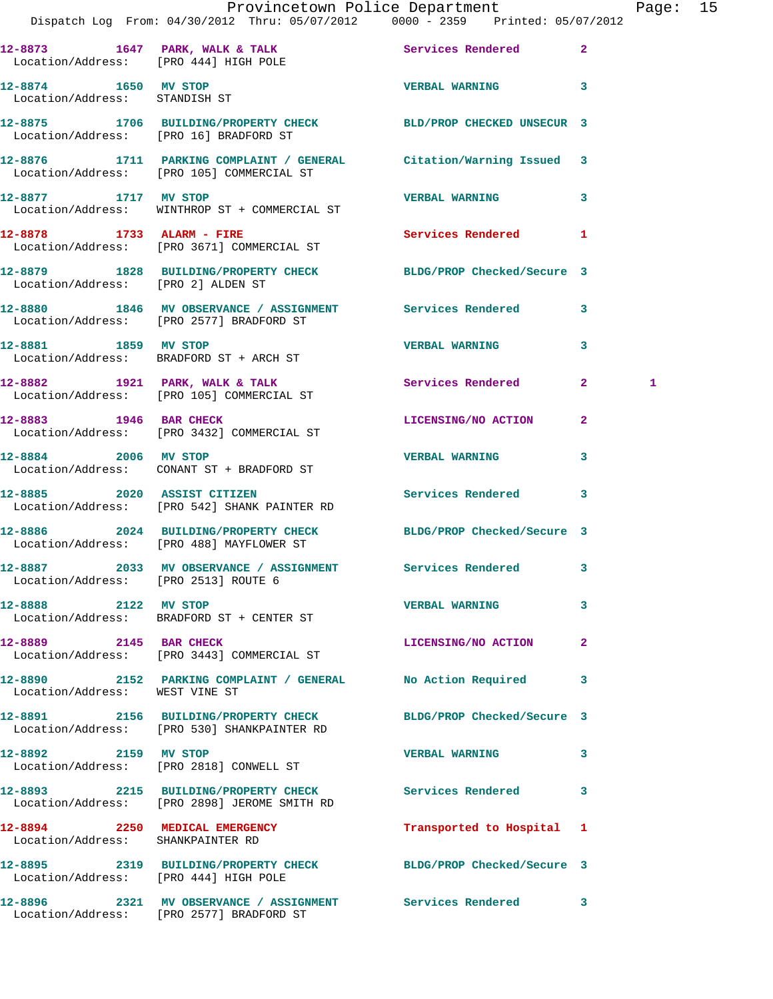|                                                       | Dispatch Log From: 04/30/2012 Thru: 05/07/2012 0000 - 2359 Printed: 05/07/2012                                  | Provincetown Police Department Page: 15 |              |   |  |
|-------------------------------------------------------|-----------------------------------------------------------------------------------------------------------------|-----------------------------------------|--------------|---|--|
| Location/Address: [PRO 444] HIGH POLE                 | 12-8873 1647 PARK, WALK & TALK 1997 Services Rendered 2                                                         |                                         |              |   |  |
| 12-8874 1650 MV STOP<br>Location/Address: STANDISH ST |                                                                                                                 | <b>VERBAL WARNING 3</b>                 |              |   |  |
|                                                       | 12-8875 1706 BUILDING/PROPERTY CHECK BLD/PROP CHECKED UNSECUR 3<br>Location/Address: [PRO 16] BRADFORD ST       |                                         |              |   |  |
|                                                       | 12-8876 1711 PARKING COMPLAINT / GENERAL Citation/Warning Issued 3<br>Location/Address: [PRO 105] COMMERCIAL ST |                                         |              |   |  |
|                                                       | 12-8877 1717 MV STOP<br>Location/Address: WINTHROP ST + COMMERCIAL ST                                           | VERBAL WARNING 3                        |              |   |  |
|                                                       | 12-8878 1733 ALARM - FIRE<br>Location/Address: [PRO 3671] COMMERCIAL ST                                         | Services Rendered 1                     |              |   |  |
| Location/Address: [PRO 2] ALDEN ST                    | 12-8879 1828 BUILDING/PROPERTY CHECK BLDG/PROP Checked/Secure 3                                                 |                                         |              |   |  |
|                                                       | 12-8880 1846 MV OBSERVANCE / ASSIGNMENT Services Rendered 3<br>Location/Address: [PRO 2577] BRADFORD ST         |                                         |              |   |  |
|                                                       | 12-8881 1859 MV STOP<br>Location/Address: BRADFORD ST + ARCH ST                                                 | VERBAL WARNING 3                        |              |   |  |
|                                                       | 12-8882 1921 PARK, WALK & TALK 1998 Services Rendered 2<br>Location/Address: [PRO 105] COMMERCIAL ST            |                                         |              | 1 |  |
|                                                       | 12-8883 1946 BAR CHECK<br>Location/Address: [PRO 3432] COMMERCIAL ST                                            | LICENSING/NO ACTION 2                   |              |   |  |
|                                                       | 12-8884 2006 MV STOP<br>Location/Address: CONANT ST + BRADFORD ST                                               | <b>VERBAL WARNING</b>                   | 3            |   |  |
|                                                       | 12-8885 2020 ASSIST CITIZEN Services Rendered 3<br>Location/Address: [PRO 542] SHANK PAINTER RD                 |                                         |              |   |  |
|                                                       | 12-8886 2024 BUILDING/PROPERTY CHECK BLDG/PROP Checked/Secure 3<br>Location/Address: [PRO 488] MAYFLOWER ST     |                                         |              |   |  |
| Location/Address: [PRO 2513] ROUTE 6                  | 12-8887 2033 MV OBSERVANCE / ASSIGNMENT                                                                         | Services Rendered 3                     |              |   |  |
| 12-8888 2122 MV STOP                                  | Location/Address: BRADFORD ST + CENTER ST                                                                       | <b>VERBAL WARNING</b>                   | $\mathbf{3}$ |   |  |
| 12-8889 2145 BAR CHECK                                | Location/Address: [PRO 3443] COMMERCIAL ST                                                                      | LICENSING/NO ACTION                     | $\mathbf{2}$ |   |  |
| Location/Address: WEST VINE ST                        | 12-8890 2152 PARKING COMPLAINT / GENERAL No Action Required                                                     |                                         | 3            |   |  |
|                                                       | 12-8891 2156 BUILDING/PROPERTY CHECK BLDG/PROP Checked/Secure 3<br>Location/Address: [PRO 530] SHANKPAINTER RD  |                                         |              |   |  |
|                                                       | 12-8892 2159 MV STOP<br>Location/Address: [PRO 2818] CONWELL ST                                                 | VERBAL WARNING 3                        |              |   |  |
|                                                       | 12-8893 2215 BUILDING/PROPERTY CHECK Services Rendered 3<br>Location/Address: [PRO 2898] JEROME SMITH RD        |                                         |              |   |  |
| Location/Address: SHANKPAINTER RD                     | 12-8894 2250 MEDICAL EMERGENCY                                                                                  | Transported to Hospital 1               |              |   |  |
| Location/Address: [PRO 444] HIGH POLE                 | 12-8895 2319 BUILDING/PROPERTY CHECK BLDG/PROP Checked/Secure 3                                                 |                                         |              |   |  |
|                                                       | 12-8896 2321 MV OBSERVANCE / ASSIGNMENT Services Rendered 3<br>Location/Address: [PRO 2577] BRADFORD ST         |                                         |              |   |  |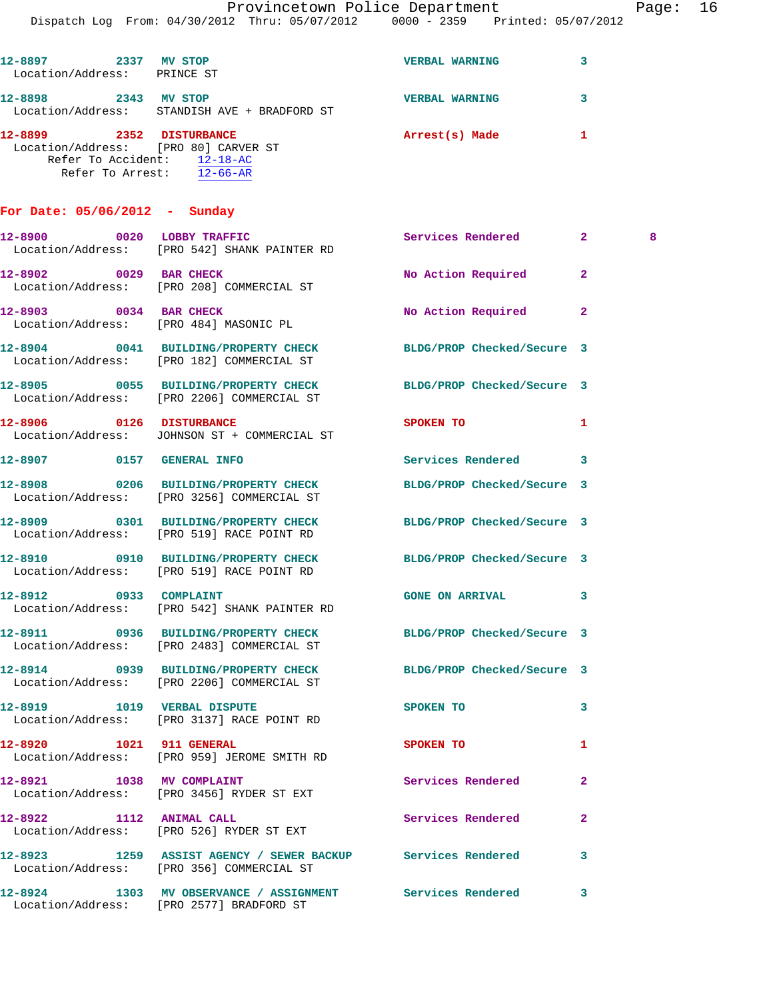Dispatch Log From: 04/30/2012 Thru: 05/07/2012 0000 - 2359 Printed: 05/07/2012

| 12-8897<br>2337    | MV STOP                                      | <b>VERBAL WARNING</b> |  |
|--------------------|----------------------------------------------|-----------------------|--|
| Location/Address:  | PRINCE ST                                    |                       |  |
| 12-8898            | 2343<br><b>STOP</b><br>МV                    | <b>VERBAL WARNING</b> |  |
|                    | Location/Address: STANDISH AVE + BRADFORD ST |                       |  |
| 12-8899            | 2352<br><b>DISTURBANCE</b>                   | Arrest(s) Made        |  |
|                    | Location/Address: [PRO 80] CARVER ST         |                       |  |
| Refer To Accident: | $12-18-AC$                                   |                       |  |
| Refer To Arrest:   | $12 - 66 - AR$                               |                       |  |

## **For Date: 05/06/2012 - Sunday**

|                           | 12-8900 0020 LOBBY TRAFFIC<br>Location/Address: [PRO 542] SHANK PAINTER RD                                                                 | Services Rendered 2        |              | 8 |
|---------------------------|--------------------------------------------------------------------------------------------------------------------------------------------|----------------------------|--------------|---|
| 12-8902 0029 BAR CHECK    | Location/Address: [PRO 208] COMMERCIAL ST                                                                                                  | No Action Required         | $\mathbf{2}$ |   |
|                           | 12-8903 0034 BAR CHECK<br>Location/Address: [PRO 484] MASONIC PL                                                                           | No Action Required         | $\mathbf{2}$ |   |
|                           | 12-8904 0041 BUILDING/PROPERTY CHECK<br>Location/Address: [PRO 182] COMMERCIAL ST                                                          | BLDG/PROP Checked/Secure 3 |              |   |
|                           | 12-8905 0055 BUILDING/PROPERTY CHECK BLDG/PROP Checked/Secure 3<br>Location/Address: [PRO 2206] COMMERCIAL ST                              |                            |              |   |
|                           | 12-8906 0126 DISTURBANCE<br>Location/Address: JOHNSON ST + COMMERCIAL ST                                                                   | <b>SPOKEN TO</b>           | 1            |   |
| 12-8907 0157 GENERAL INFO |                                                                                                                                            | Services Rendered 3        |              |   |
|                           | 12-8908 0206 BUILDING/PROPERTY CHECK BLDG/PROP Checked/Secure 3<br>Location/Address: [PRO 3256] COMMERCIAL ST                              |                            |              |   |
|                           | 12-8909 0301 BUILDING/PROPERTY CHECK BLDG/PROP Checked/Secure 3<br>Location/Address: [PRO 519] RACE POINT RD                               |                            |              |   |
|                           | 12-8910 0910 BUILDING/PROPERTY CHECK BLDG/PROP Checked/Secure 3<br>Location/Address: [PRO 519] RACE POINT RD                               |                            |              |   |
|                           | 12-8912 0933 COMPLAINT<br>Location/Address: [PRO 542] SHANK PAINTER RD                                                                     | <b>GONE ON ARRIVAL</b>     | 3            |   |
|                           | 12-8911 0936 BUILDING/PROPERTY CHECK BLDG/PROP Checked/Secure 3<br>Location/Address: [PRO 2483] COMMERCIAL ST                              |                            |              |   |
|                           | 12-8914 0939 BUILDING/PROPERTY CHECK BLDG/PROP Checked/Secure 3<br>Location/Address: [PRO 2206] COMMERCIAL ST                              |                            |              |   |
|                           | 12-8919 1019 VERBAL DISPUTE<br>Location/Address: [PRO 3137] RACE POINT RD                                                                  | SPOKEN TO                  | 3            |   |
|                           | 12-8920 1021 911 GENERAL<br>Location/Address: [PRO 959] JEROME SMITH RD                                                                    | <b>SPOKEN TO</b>           | 1            |   |
| 12-8921 1038 MV COMPLAINT | Location/Address: [PRO 3456] RYDER ST EXT                                                                                                  | Services Rendered 2        |              |   |
| 12-8922 1112 ANIMAL CALL  | Location/Address: [PRO 526] RYDER ST EXT                                                                                                   | Services Rendered          | $\mathbf{2}$ |   |
|                           | 12-8923                   1259    ASSIST AGENCY  /  SEWER BACKUP            Services Rendered<br>Location/Address: [PRO 356] COMMERCIAL ST |                            | 3            |   |
|                           | 12-8924 1303 MV OBSERVANCE / ASSIGNMENT<br>Location/Address: [PRO 2577] BRADFORD ST                                                        | <b>Services Rendered</b>   | 3            |   |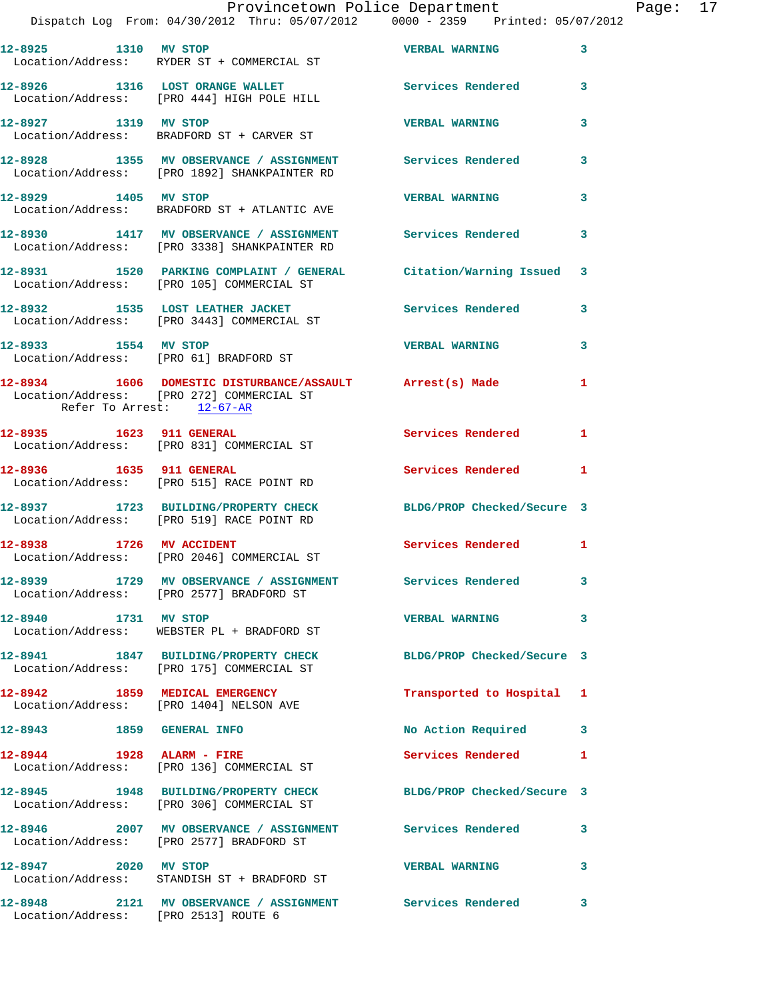|                           | Provincetown Police Department<br>Dispatch Log From: 04/30/2012 Thru: 05/07/2012 0000 - 2359 Printed: 05/07/2012 |                           |   |
|---------------------------|------------------------------------------------------------------------------------------------------------------|---------------------------|---|
|                           |                                                                                                                  |                           |   |
| 12-8925 1310 MV STOP      | Location/Address: RYDER ST + COMMERCIAL ST                                                                       | <b>VERBAL WARNING</b>     | 3 |
|                           | 12-8926 1316 LOST ORANGE WALLET Services Rendered<br>Location/Address: [PRO 444] HIGH POLE HILL                  |                           | 3 |
| 12-8927 1319 MV STOP      | Location/Address: BRADFORD ST + CARVER ST                                                                        | <b>VERBAL WARNING</b>     | 3 |
|                           | 12-8928 1355 MV OBSERVANCE / ASSIGNMENT Services Rendered<br>Location/Address: [PRO 1892] SHANKPAINTER RD        |                           | 3 |
| 12-8929 1405 MV STOP      | Location/Address: BRADFORD ST + ATLANTIC AVE                                                                     | <b>VERBAL WARNING</b>     | 3 |
|                           | 12-8930 1417 MV OBSERVANCE / ASSIGNMENT Services Rendered<br>Location/Address: [PRO 3338] SHANKPAINTER RD        |                           | 3 |
|                           | 12-8931 1520 PARKING COMPLAINT / GENERAL Citation/Warning Issued<br>Location/Address: [PRO 105] COMMERCIAL ST    |                           | 3 |
|                           | 12-8932 1535 LOST LEATHER JACKET<br>Location/Address: [PRO 3443] COMMERCIAL ST                                   | Services Rendered         | 3 |
| 12-8933 1554 MV STOP      | Location/Address: [PRO 61] BRADFORD ST                                                                           | <b>VERBAL WARNING</b>     | 3 |
| Refer To Arrest: 12-67-AR | 12-8934 1606 DOMESTIC DISTURBANCE/ASSAULT Arrest(s) Made<br>Location/Address: [PRO 272] COMMERCIAL ST            |                           | 1 |
|                           | 12-8935 1623 911 GENERAL<br>Location/Address: [PRO 831] COMMERCIAL ST                                            | <b>Services Rendered</b>  | 1 |
|                           | 12-8936 1635 911 GENERAL<br>Location/Address: [PRO 515] RACE POINT RD                                            | <b>Services Rendered</b>  | 1 |
|                           | 12-8937 1723 BUILDING/PROPERTY CHECK BLDG/PROP Checked/Secure 3<br>Location/Address: [PRO 519] RACE POINT RD     |                           |   |
| 12-8938 1726 MV ACCIDENT  | Location/Address: [PRO 2046] COMMERCIAL ST                                                                       | Services Rendered         | 1 |
|                           | 12-8939 1729 MV OBSERVANCE / ASSIGNMENT Services Rendered<br>Location/Address: [PRO 2577] BRADFORD ST            |                           | 3 |
| 12-8940 1731 MV STOP      | Location/Address: WEBSTER PL + BRADFORD ST                                                                       | <b>VERBAL WARNING</b>     | 3 |
|                           | 12-8941 1847 BUILDING/PROPERTY CHECK BLDG/PROP Checked/Secure 3<br>Location/Address: [PRO 175] COMMERCIAL ST     |                           |   |
|                           | 12-8942 1859 MEDICAL EMERGENCY<br>Location/Address: [PRO 1404] NELSON AVE                                        | Transported to Hospital 1 |   |
| 12-8943 1859 GENERAL INFO |                                                                                                                  | No Action Required        | 3 |
|                           | 12-8944 1928 ALARM - FIRE<br>Location/Address: [PRO 136] COMMERCIAL ST                                           | Services Rendered         | 1 |
|                           | 12-8945 1948 BUILDING/PROPERTY CHECK BLDG/PROP Checked/Secure 3<br>Location/Address: [PRO 306] COMMERCIAL ST     |                           |   |
|                           |                                                                                                                  |                           | 3 |
| 12-8947 2020 MV STOP      | Location/Address: STANDISH ST + BRADFORD ST                                                                      | <b>VERBAL WARNING</b>     | 3 |
|                           | 12-8948 2121 MV OBSERVANCE / ASSIGNMENT Services Rendered                                                        |                           | 3 |

Location/Address: [PRO 2513] ROUTE 6

Page: 17